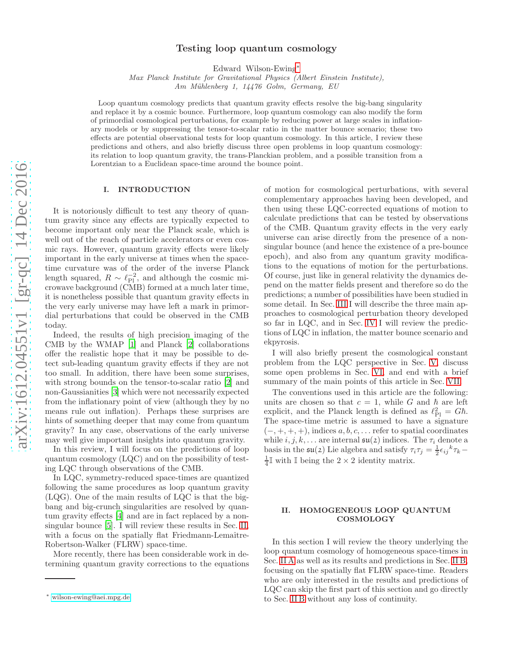# Testing loop quantum cosmology

Edward Wilson-Ewing[∗](#page-0-0)

Max Planck Institute for Gravitational Physics (Albert Einstein Institute), Am Mühlenberg 1, 14476 Golm, Germany, EU

Loop quantum cosmology predicts that quantum gravity effects resolve the big-bang singularity and replace it by a cosmic bounce. Furthermore, loop quantum cosmology can also modify the form of primordial cosmological perturbations, for example by reducing power at large scales in inflationary models or by suppressing the tensor-to-scalar ratio in the matter bounce scenario; these two effects are potential observational tests for loop quantum cosmology. In this article, I review these predictions and others, and also briefly discuss three open problems in loop quantum cosmology: its relation to loop quantum gravity, the trans-Planckian problem, and a possible transition from a Lorentzian to a Euclidean space-time around the bounce point.

### I. INTRODUCTION

It is notoriously difficult to test any theory of quantum gravity since any effects are typically expected to become important only near the Planck scale, which is well out of the reach of particle accelerators or even cosmic rays. However, quantum gravity effects were likely important in the early universe at times when the spacetime curvature was of the order of the inverse Planck length squared,  $R \sim \ell_{\rm Pl}^{-2}$ , and although the cosmic microwave background (CMB) formed at a much later time, it is nonetheless possible that quantum gravity effects in the very early universe may have left a mark in primordial perturbations that could be observed in the CMB today.

Indeed, the results of high precision imaging of the CMB by the WMAP [\[1](#page-15-0)] and Planck [\[2](#page-15-1)] collaborations offer the realistic hope that it may be possible to detect sub-leading quantum gravity effects if they are not too small. In addition, there have been some surprises, with strong bounds on the tensor-to-scalar ratio [\[2\]](#page-15-1) and non-Gaussianities [\[3\]](#page-15-2) which were not necessarily expected from the inflationary point of view (although they by no means rule out inflation). Perhaps these surprises are hints of something deeper that may come from quantum gravity? In any case, observations of the early universe may well give important insights into quantum gravity.

In this review, I will focus on the predictions of loop quantum cosmology (LQC) and on the possibility of testing LQC through observations of the CMB.

In LQC, symmetry-reduced space-times are quantized following the same procedures as loop quantum gravity (LQG). One of the main results of LQC is that the bigbang and big-crunch singularities are resolved by quantum gravity effects [\[4](#page-15-3)] and are in fact replaced by a nonsingular bounce [\[5](#page-15-4)]. I will review these results in Sec. [II,](#page-0-1) with a focus on the spatially flat Friedmann-Lemaître-Robertson-Walker (FLRW) space-time.

More recently, there has been considerable work in determining quantum gravity corrections to the equations of motion for cosmological perturbations, with several complementary approaches having been developed, and then using these LQC-corrected equations of motion to calculate predictions that can be tested by observations of the CMB. Quantum gravity effects in the very early universe can arise directly from the presence of a nonsingular bounce (and hence the existence of a pre-bounce epoch), and also from any quantum gravity modifications to the equations of motion for the perturbations. Of course, just like in general relativity the dynamics depend on the matter fields present and therefore so do the predictions; a number of possibilities have been studied in some detail. In Sec. [III](#page-4-0) I will describe the three main approaches to cosmological perturbation theory developed so far in LQC, and in Sec. [IV](#page-8-0) I will review the predictions of LQC in inflation, the matter bounce scenario and ekpyrosis.

I will also briefly present the cosmological constant problem from the LQC perspective in Sec. [V,](#page-12-0) discuss some open problems in Sec. [VI,](#page-12-1) and end with a brief summary of the main points of this article in Sec. [VII.](#page-14-0)

The conventions used in this article are the following: units are chosen so that  $c = 1$ , while G and  $\hbar$  are left explicit, and the Planck length is defined as  $\ell_{\rm Pl}^2 = G\hbar$ . The space-time metric is assumed to have a signature  $(-, +, +, +)$ , indices  $a, b, c, \ldots$  refer to spatial coordinates while  $i, j, k, \ldots$  are internal  $\mathfrak{su}(2)$  indices. The  $\tau_i$  denote a basis in the  $\mathfrak{su}(2)$  Lie algebra and satisfy  $\tau_i \tau_j = \frac{1}{2} \epsilon_{ij}{}^k \tau_k \frac{1}{4}$  with I being the  $2 \times 2$  identity matrix.

# <span id="page-0-1"></span>II. HOMOGENEOUS LOOP QUANTUM COSMOLOGY

In this section I will review the theory underlying the loop quantum cosmology of homogeneous space-times in Sec. [II A](#page-1-0) as well as its results and predictions in Sec. [II B,](#page-3-0) focusing on the spatially flat FLRW space-time. Readers who are only interested in the results and predictions of LQC can skip the first part of this section and go directly to Sec. [II B](#page-3-0) without any loss of continuity.

<span id="page-0-0"></span><sup>∗</sup> [wilson-ewing@aei.mpg.de](mailto:wilson-ewing@aei.mpg.de)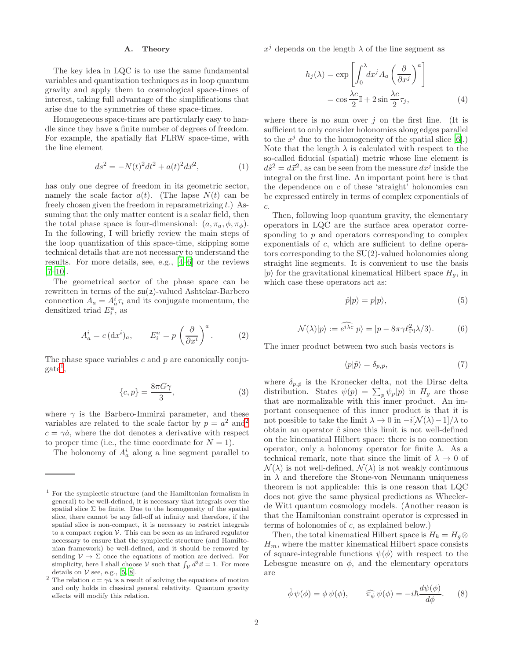#### <span id="page-1-0"></span>A. Theory

The key idea in LQC is to use the same fundamental variables and quantization techniques as in loop quantum gravity and apply them to cosmological space-times of interest, taking full advantage of the simplifications that arise due to the symmetries of these space-times.

Homogeneous space-times are particularly easy to handle since they have a finite number of degrees of freedom. For example, the spatially flat FLRW space-time, with the line element

<span id="page-1-3"></span>
$$
ds^{2} = -N(t)^{2}dt^{2} + a(t)^{2}d\vec{x}^{2},
$$
\n(1)

has only one degree of freedom in its geometric sector, namely the scale factor  $a(t)$ . (The lapse  $N(t)$  can be freely chosen given the freedom in reparametrizing  $t$ .) Assuming that the only matter content is a scalar field, then the total phase space is four-dimensional:  $(a, \pi_a, \phi, \pi_{\phi})$ . In the following, I will briefly review the main steps of the loop quantization of this space-time, skipping some technical details that are not necessary to understand the results. For more details, see, e.g., [\[4](#page-15-3)[–6\]](#page-15-5) or the reviews  $[7–10]$  $[7–10]$ .

The geometrical sector of the phase space can be rewritten in terms of the su(2)-valued Ashtekar-Barbero connection  $A_a = A_a^i \tau_i$  and its conjugate momentum, the densitized triad  $E_i^a$ , as

<span id="page-1-4"></span>
$$
A_a^i = c \, (\mathrm{d}x^i)_a, \qquad E_i^a = p \, \left(\frac{\partial}{\partial x^i}\right)^a. \tag{2}
$$

The phase space variables  $c$  and  $p$  are canonically conju- $gate<sup>1</sup>$  $gate<sup>1</sup>$  $gate<sup>1</sup>$ ,

$$
\{c, p\} = \frac{8\pi G\gamma}{3},\tag{3}
$$

where  $\gamma$  is the Barbero-Immirzi parameter, and these variables are related to the scale factor by  $p = a^2$  $p = a^2$  and<sup>2</sup>  $c = \gamma \dot{a}$ , where the dot denotes a derivative with respect to proper time (i.e., the time coordinate for  $N = 1$ ).

The holonomy of  $A_a^i$  along a line segment parallel to

 $x^j$  depends on the length  $\lambda$  of the line segment as

$$
h_j(\lambda) = \exp\left[\int_0^{\lambda} dx^j A_a \left(\frac{\partial}{\partial x^j}\right)^a\right]
$$

$$
= \cos\frac{\lambda c}{2} \mathbb{I} + 2\sin\frac{\lambda c}{2} \tau_j,
$$
(4)

where there is no sum over  $j$  on the first line. (It is sufficient to only consider holonomies along edges parallel to the  $x^j$  due to the homogeneity of the spatial slice [\[6\]](#page-15-5).) Note that the length  $\lambda$  is calculated with respect to the so-called fiducial (spatial) metric whose line element is  $d\mathring{s}^2 = d\mathring{x}^2$ , as can be seen from the measure  $dx^j$  inside the integral on the first line. An important point here is that the dependence on  $c$  of these 'straight' holonomies can be expressed entirely in terms of complex exponentials of c.

Then, following loop quantum gravity, the elementary operators in LQC are the surface area operator corresponding to  $p$  and operators corresponding to complex exponentials of c, which are sufficient to define operators corresponding to the SU(2)-valued holonomies along straight line segments. It is convenient to use the basis  $|p\rangle$  for the gravitational kinematical Hilbert space  $H<sub>a</sub>$ , in which case these operators act as:

$$
\hat{p}|p\rangle = p|p\rangle,\tag{5}
$$

<span id="page-1-5"></span>
$$
\mathcal{N}(\lambda)|p\rangle := \widehat{e^{i\lambda c}}|p\rangle = |p - 8\pi\gamma \ell_{\rm Pl}^2 \lambda/3\rangle. \tag{6}
$$

The inner product between two such basis vectors is

$$
\langle p|\tilde{p}\rangle = \delta_{p,\tilde{p}},\tag{7}
$$

where  $\delta_{p,\tilde{p}}$  is the Kronecker delta, not the Dirac delta distribution. States  $\psi(p) = \sum_p \psi_p |p\rangle$  in  $H_g$  are those that are normalizable with this inner product. An important consequence of this inner product is that it is not possible to take the limit  $\lambda \to 0$  in  $-i[\mathcal{N}(\lambda)-1]/\lambda$  to obtain an operator  $\hat{c}$  since this limit is not well-defined on the kinematical Hilbert space: there is no connection operator, only a holonomy operator for finite  $\lambda$ . As a technical remark, note that since the limit of  $\lambda \to 0$  of  $\mathcal{N}(\lambda)$  is not well-defined,  $\mathcal{N}(\lambda)$  is not weakly continuous in  $\lambda$  and therefore the Stone-von Neumann uniqueness theorem is not applicable: this is one reason that LQC does not give the same physical predictions as Wheelerde Witt quantum cosmology models. (Another reason is that the Hamiltonian constraint operator is expressed in terms of holonomies of c, as explained below.)

Then, the total kinematical Hilbert space is  $H_k = H_q \otimes$  $H_m$ , where the matter kinematical Hilbert space consists of square-integrable functions  $\psi(\phi)$  with respect to the Lebesgue measure on  $\phi$ , and the elementary operators are

$$
\hat{\phi}\,\psi(\phi) = \phi\,\psi(\phi), \qquad \widehat{\pi_{\phi}}\,\psi(\phi) = -i\hbar \frac{d\psi(\phi)}{d\phi}.\tag{8}
$$

<span id="page-1-1"></span><sup>1</sup> For the symplectic structure (and the Hamiltonian formalism in general) to be well-defined, it is necessary that integrals over the spatial slice  $\Sigma$  be finite. Due to the homogeneity of the spatial slice, there cannot be any fall-off at infinity and therefore, if the spatial slice is non-compact, it is necessary to restrict integrals to a compact region  $\mathcal V$ . This can be seen as an infrared regulator necessary to ensure that the symplectic structure (and Hamiltonian framework) be well-defined, and it should be removed by sending  $\mathcal{V} \to \Sigma$  once the equations of motion are derived. For simplicity, here I shall choose  $\mathcal V$  such that  $\int_{\mathcal V} d^3 \vec{x} = 1$ . For more details on  $V$  see, e.g., [\[5](#page-15-4), [8\]](#page-15-8).

<span id="page-1-2"></span><sup>&</sup>lt;sup>2</sup> The relation  $c = \gamma a$  is a result of solving the equations of motion and only holds in classical general relativity. Quantum gravity effects will modify this relation.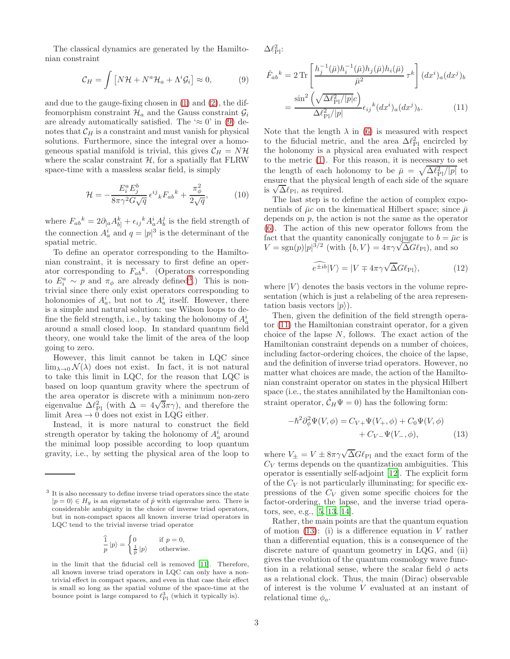The classical dynamics are generated by the Hamiltonian constraint

<span id="page-2-0"></span>
$$
\mathcal{C}_H = \int \left[ N \mathcal{H} + N^a \mathcal{H}_a + \Lambda^i \mathcal{G}_i \right] \approx 0, \tag{9}
$$

and due to the gauge-fixing chosen in [\(1\)](#page-1-3) and [\(2\)](#page-1-4), the diffeomorphism constraint  $\mathcal{H}_a$  and the Gauss constraint  $\mathcal{G}_i$ are already automatically satisfied. The ' $\approx 0$ ' in [\(9\)](#page-2-0) denotes that  $C_H$  is a constraint and must vanish for physical solutions. Furthermore, since the integral over a homogeneous spatial manifold is trivial, this gives  $C_H = N \mathcal{H}$ where the scalar constraint  $H$ , for a spatially flat FLRW space-time with a massless scalar field, is simply

$$
\mathcal{H} = -\frac{E_i^a E_j^b}{8\pi \gamma^2 G \sqrt{q}} \epsilon^{ij}{}_k F_{ab}{}^k + \frac{\pi_\phi^2}{2\sqrt{q}},\tag{10}
$$

where  $F_{ab}{}^k = 2\partial_{[a}A^k_{b]} + \epsilon_{ij}{}^k A^i_a A^j_b$  is the field strength of the connection  $A_a^i$  and  $q = |p|^3$  is the determinant of the spatial metric.

To define an operator corresponding to the Hamiltonian constraint, it is necessary to first define an operator corresponding to  $F_{ab}^k$ . (Operators corresponding to  $E_i^a \sim p$  and  $\pi_\phi$  are already defined<sup>[3](#page-2-1)</sup>.) This is nontrivial since there only exist operators corresponding to holonomies of  $A_a^i$ , but not to  $A_a^i$  itself. However, there is a simple and natural solution: use Wilson loops to define the field strength, i.e., by taking the holonomy of  $A_a^i$ around a small closed loop. In standard quantum field theory, one would take the limit of the area of the loop going to zero.

However, this limit cannot be taken in LQC since  $\lim_{\lambda\to 0} \mathcal{N}(\lambda)$  does not exist. In fact, it is not natural to take this limit in LQC, for the reason that LQC is based on loop quantum gravity where the spectrum of the area operator is discrete with a minimum non-zero eigenvalue  $\Delta \ell_{\rm Pl}^2$  (with  $\Delta = 4\sqrt{3}\pi\gamma$ ), and therefore the limit Area  $\rightarrow 0$  does not exist in LQG either.

Instead, it is more natural to construct the field strength operator by taking the holonomy of  $A_a^i$  around the minimal loop possible according to loop quantum gravity, i.e., by setting the physical area of the loop to

$$
\frac{\widehat{1}}{p} |p\rangle = \begin{cases} 0 & \text{if } p = 0, \\ \frac{1}{p} |p\rangle & \text{otherwise.} \end{cases}
$$

 $\Delta \ell_{\rm Pl}^2$ :

<span id="page-2-2"></span>
$$
\hat{F}_{ab}{}^{k} = 2 \operatorname{Tr} \left[ \frac{h_{j}^{-1}(\bar{\mu})h_{i}^{-1}(\bar{\mu})h_{j}(\bar{\mu})h_{i}(\bar{\mu})}{\bar{\mu}^{2}} \tau^{k} \right] (dx^{i})_{a} (dx^{j})_{b}
$$
\n
$$
= \frac{\sin^{2} \left( \sqrt{\Delta \ell_{\text{Pl}}^{2}/|p|} c \right)}{\Delta \ell_{\text{Pl}}^{2}/|p|} \epsilon_{ij}{}^{k} (dx^{i})_{a} (dx^{j})_{b}.
$$
\n(11)

Note that the length  $\lambda$  in [\(6\)](#page-1-5) is measured with respect to the fiducial metric, and the area  $\Delta \ell_{\rm Pl}^2$  encircled by the holonomy is a physical area evaluated with respect to the metric [\(1\)](#page-1-3). For this reason, it is necessary to set the length of each holonomy to be  $\bar{\mu} = \sqrt{\Delta \ell_{\rm Pl}^2/|\bar{p}|}$  to ensure that the physical length of each side of the square is  $\sqrt{\Delta} \ell_{\text{Pl}}$ , as required.

The last step is to define the action of complex exponentials of  $\bar{\mu}c$  on the kinematical Hilbert space; since  $\bar{\mu}$ depends on  $p$ , the action is not the same as the operator [\(6\)](#page-1-5). The action of this new operator follows from the fact that the quantity canonically conjugate to  $b = \bar{\mu}c$  is  $V = \text{sgn}(p)|p|^{3/2}$  (with  $\{b, V\} = 4\pi \gamma \sqrt{\Delta G} \ell_{\text{Pl}}$ ), and so

$$
\widehat{e^{\pm ib}}|V\rangle = |V \mp 4\pi\gamma\sqrt{\Delta}G\ell_{\rm Pl}\rangle, \tag{12}
$$

where  $|V\rangle$  denotes the basis vectors in the volume representation (which is just a relabeling of the area representation basis vectors  $|p\rangle$ ).

Then, given the definition of the field strength operator [\(11\)](#page-2-2) the Hamiltonian constraint operator, for a given choice of the lapse  $N$ , follows. The exact action of the Hamiltonian constraint depends on a number of choices, including factor-ordering choices, the choice of the lapse, and the definition of inverse triad operators. However, no matter what choices are made, the action of the Hamiltonian constraint operator on states in the physical Hilbert space (i.e., the states annihilated by the Hamiltonian constraint operator,  $\hat{C}_H \Psi = 0$ ) has the following form:

<span id="page-2-3"></span>
$$
-\hbar^2 \partial_{\phi}^2 \Psi(V,\phi) = C_{V+} \Psi(V_+,\phi) + C_0 \Psi(V,\phi)
$$
  
+ 
$$
C_{V-} \Psi(V_-,\phi), \qquad (13)
$$

where  $V_{\pm} = V \pm 8\pi \gamma \sqrt{\Delta} G \ell_{\text{Pl}}$  and the exact form of the  $C_V$  terms depends on the quantization ambiguities. This operator is essentially self-adjoint [\[12](#page-15-10)]. The explicit form of the  $C_V$  is not particularly illuminating; for specific expressions of the  $C_V$  given some specific choices for the factor-ordering, the lapse, and the inverse triad operators, see, e.g., [\[5](#page-15-4), [13,](#page-15-11) [14\]](#page-15-12).

Rather, the main points are that the quantum equation of motion  $(13)$ : (i) is a difference equation in V rather than a differential equation, this is a consequence of the discrete nature of quantum geometry in LQG, and (ii) gives the evolution of the quantum cosmology wave function in a relational sense, where the scalar field  $\phi$  acts as a relational clock. Thus, the main (Dirac) observable of interest is the volume V evaluated at an instant of relational time  $\phi_o$ .

<span id="page-2-1"></span><sup>3</sup> It is also necessary to define inverse triad operators since the state  $|p = 0\rangle \in H_q$  is an eigenstate of  $\hat{p}$  with eigenvalue zero. There is considerable ambiguity in the choice of inverse triad operators, but in non-compact spaces all known inverse triad operators in LQC tend to the trivial inverse triad operator

in the limit that the fiducial cell is removed [\[11\]](#page-15-9). Therefore, all known inverse triad operators in LQC can only have a nontrivial effect in compact spaces, and even in that case their effect is small so long as the spatial volume of the space-time at the bounce point is large compared to  $\ell_{\rm Pl}^3$  (which it typically is).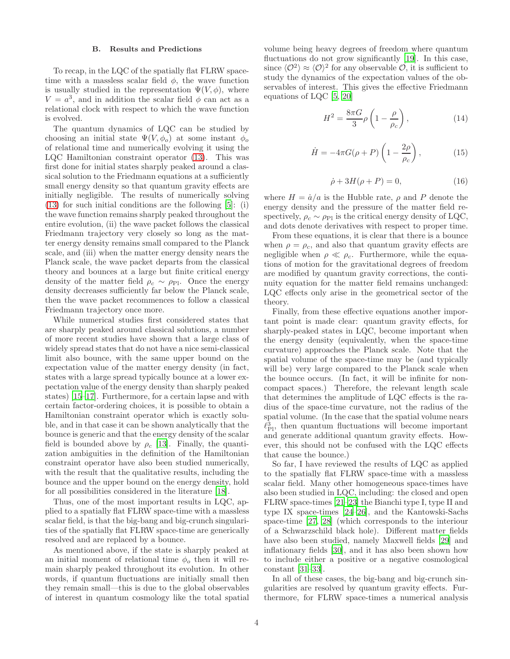# <span id="page-3-0"></span>B. Results and Predictions

To recap, in the LQC of the spatially flat FLRW spacetime with a massless scalar field  $\phi$ , the wave function is usually studied in the representation  $\Psi(V, \phi)$ , where  $V = a^3$ , and in addition the scalar field  $\phi$  can act as a relational clock with respect to which the wave function is evolved.

The quantum dynamics of LQC can be studied by choosing an initial state  $\Psi(V, \phi_o)$  at some instant  $\phi_o$ of relational time and numerically evolving it using the LQC Hamiltonian constraint operator [\(13\)](#page-2-3). This was first done for initial states sharply peaked around a classical solution to the Friedmann equations at a sufficiently small energy density so that quantum gravity effects are initially negligible. The results of numerically solving [\(13\)](#page-2-3) for such initial conditions are the following [\[5](#page-15-4)]: (i) the wave function remains sharply peaked throughout the entire evolution, (ii) the wave packet follows the classical Friedmann trajectory very closely so long as the matter energy density remains small compared to the Planck scale, and (iii) when the matter energy density nears the Planck scale, the wave packet departs from the classical theory and bounces at a large but finite critical energy density of the matter field  $\rho_c \sim \rho_{\text{Pl}}$ . Once the energy density decreases sufficiently far below the Planck scale, then the wave packet recommences to follow a classical Friedmann trajectory once more.

While numerical studies first considered states that are sharply peaked around classical solutions, a number of more recent studies have shown that a large class of widely spread states that do not have a nice semi-classical limit also bounce, with the same upper bound on the expectation value of the matter energy density (in fact, states with a large spread typically bounce at a lower expectation value of the energy density than sharply peaked states) [\[15](#page-15-13)[–17](#page-15-14)]. Furthermore, for a certain lapse and with certain factor-ordering choices, it is possible to obtain a Hamiltonian constraint operator which is exactly soluble, and in that case it can be shown analytically that the bounce is generic and that the energy density of the scalar field is bounded above by  $\rho_c$  [\[13\]](#page-15-11). Finally, the quantization ambiguities in the definition of the Hamiltonian constraint operator have also been studied numerically, with the result that the qualitative results, including the bounce and the upper bound on the energy density, hold for all possibilities considered in the literature [\[18\]](#page-15-15).

Thus, one of the most important results in LQC, applied to a spatially flat FLRW space-time with a massless scalar field, is that the big-bang and big-crunch singularities of the spatially flat FLRW space-time are generically resolved and are replaced by a bounce.

As mentioned above, if the state is sharply peaked at an initial moment of relational time  $\phi_o$  then it will remain sharply peaked throughout its evolution. In other words, if quantum fluctuations are initially small then they remain small—this is due to the global observables of interest in quantum cosmology like the total spatial

volume being heavy degrees of freedom where quantum fluctuations do not grow significantly [\[19\]](#page-15-16). In this case, since  $\langle \mathcal{O}^2 \rangle \approx \langle \mathcal{O} \rangle^2$  for any observable  $\mathcal{O}$ , it is sufficient to study the dynamics of the expectation values of the observables of interest. This gives the effective Friedmann equations of LQC [\[5](#page-15-4), [20](#page-15-17)]

<span id="page-3-1"></span>
$$
H^2 = \frac{8\pi G}{3}\rho \left(1 - \frac{\rho}{\rho_c}\right),\tag{14}
$$

$$
\dot{H} = -4\pi G(\rho + P) \left(1 - \frac{2\rho}{\rho_c}\right),\tag{15}
$$

<span id="page-3-2"></span>
$$
\dot{\rho} + 3H(\rho + P) = 0,\tag{16}
$$

where  $H = \dot{a}/a$  is the Hubble rate,  $\rho$  and P denote the energy density and the pressure of the matter field respectively,  $\rho_c \sim \rho_{\rm Pl}$  is the critical energy density of LQC, and dots denote derivatives with respect to proper time.

From these equations, it is clear that there is a bounce when  $\rho = \rho_c$ , and also that quantum gravity effects are negligible when  $\rho \ll \rho_c$ . Furthermore, while the equations of motion for the gravitational degrees of freedom are modified by quantum gravity corrections, the continuity equation for the matter field remains unchanged: LQC effects only arise in the geometrical sector of the theory.

Finally, from these effective equations another important point is made clear: quantum gravity effects, for sharply-peaked states in LQC, become important when the energy density (equivalently, when the space-time curvature) approaches the Planck scale. Note that the spatial volume of the space-time may be (and typically will be) very large compared to the Planck scale when the bounce occurs. (In fact, it will be infinite for noncompact spaces.) Therefore, the relevant length scale that determines the amplitude of LQC effects is the radius of the space-time curvature, not the radius of the spatial volume. (In the case that the spatial volume nears  $\ell_{\text{Pl}}^3$ , then quantum fluctuations will become important and generate additional quantum gravity effects. However, this should not be confused with the LQC effects that cause the bounce.)

So far, I have reviewed the results of LQC as applied to the spatially flat FLRW space-time with a massless scalar field. Many other homogeneous space-times have also been studied in LQC, including: the closed and open FLRW space-times [\[21](#page-15-18)[–23\]](#page-15-19) the Bianchi type I, type II and type IX space-times [\[24](#page-15-20)[–26\]](#page-15-21), and the Kantowski-Sachs space-time [\[27](#page-15-22), [28](#page-15-23)] (which corresponds to the interiour of a Schwarzschild black hole). Different matter fields have also been studied, namely Maxwell fields [\[29](#page-15-24)] and inflationary fields [\[30](#page-15-25)], and it has also been shown how to include either a positive or a negative cosmological constant [\[31](#page-15-26)[–33\]](#page-15-27).

In all of these cases, the big-bang and big-crunch singularities are resolved by quantum gravity effects. Furthermore, for FLRW space-times a numerical analysis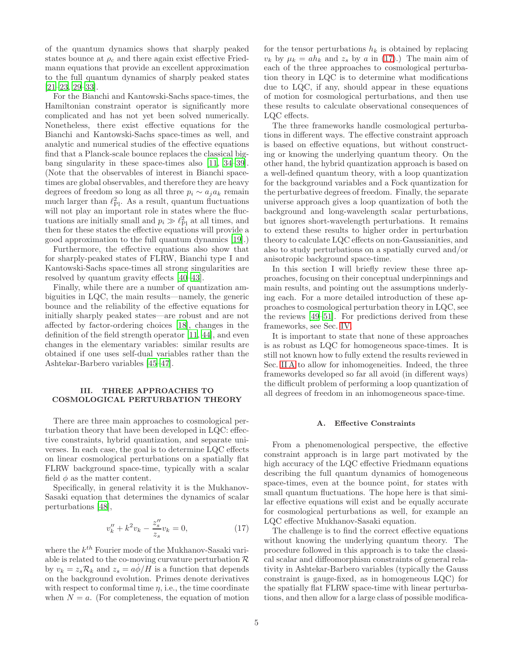of the quantum dynamics shows that sharply peaked states bounce at  $\rho_c$  and there again exist effective Friedmann equations that provide an excellent approximation to the full quantum dynamics of sharply peaked states [\[21](#page-15-18)[–23,](#page-15-19) [29](#page-15-24)[–33\]](#page-15-27).

For the Bianchi and Kantowski-Sachs space-times, the Hamiltonian constraint operator is significantly more complicated and has not yet been solved numerically. Nonetheless, there exist effective equations for the Bianchi and Kantowski-Sachs space-times as well, and analytic and numerical studies of the effective equations find that a Planck-scale bounce replaces the classical bigbang singularity in these space-times also [\[11,](#page-15-9) [34](#page-15-28)[–39\]](#page-16-0). (Note that the observables of interest in Bianchi spacetimes are global observables, and therefore they are heavy degrees of freedom so long as all three  $p_i \sim a_j a_k$  remain much larger than  $\ell_{\text{Pl}}^2$ . As a result, quantum fluctuations will not play an important role in states where the fluctuations are initially small and  $p_i \gg \ell_{\rm Pl}^2$  at all times, and then for these states the effective equations will provide a good approximation to the full quantum dynamics [\[19\]](#page-15-16).)

Furthermore, the effective equations also show that for sharply-peaked states of FLRW, Bianchi type I and Kantowski-Sachs space-times all strong singularities are resolved by quantum gravity effects [\[40](#page-16-1)[–43\]](#page-16-2).

Finally, while there are a number of quantization ambiguities in LQC, the main results—namely, the generic bounce and the reliability of the effective equations for initially sharply peaked states—are robust and are not affected by factor-ordering choices [\[18\]](#page-15-15), changes in the definition of the field strength operator [\[11](#page-15-9), [44\]](#page-16-3), and even changes in the elementary variables: similar results are obtained if one uses self-dual variables rather than the Ashtekar-Barbero variables [\[45](#page-16-4)[–47](#page-16-5)].

# <span id="page-4-0"></span>III. THREE APPROACHES TO COSMOLOGICAL PERTURBATION THEORY

There are three main approaches to cosmological perturbation theory that have been developed in LQC: effective constraints, hybrid quantization, and separate universes. In each case, the goal is to determine LQC effects on linear cosmological perturbations on a spatially flat FLRW background space-time, typically with a scalar field  $\phi$  as the matter content.

Specifically, in general relativity it is the Mukhanov-Sasaki equation that determines the dynamics of scalar perturbations [\[48](#page-16-6)],

<span id="page-4-1"></span>
$$
v_k'' + k^2 v_k - \frac{z_s''}{z_s} v_k = 0,
$$
\n(17)

where the  $k^{th}$  Fourier mode of the Mukhanov-Sasaki variable is related to the co-moving curvature perturbation  $\mathcal R$ by  $v_k = z_s \mathcal{R}_k$  and  $z_s = a\phi/H$  is a function that depends on the background evolution. Primes denote derivatives with respect to conformal time  $\eta$ , i.e., the time coordinate when  $N = a$ . (For completeness, the equation of motion

for the tensor perturbations  $h_k$  is obtained by replacing  $v_k$  by  $\mu_k = ah_k$  and  $z_s$  by a in [\(17\)](#page-4-1).) The main aim of each of the three approaches to cosmological perturbation theory in LQC is to determine what modifications due to LQC, if any, should appear in these equations of motion for cosmological perturbations, and then use these results to calculate observational consequences of LQC effects.

The three frameworks handle cosmological perturbations in different ways. The effective constraint approach is based on effective equations, but without constructing or knowing the underlying quantum theory. On the other hand, the hybrid quantization approach is based on a well-defined quantum theory, with a loop quantization for the background variables and a Fock quantization for the perturbative degrees of freedom. Finally, the separate universe approach gives a loop quantization of both the background and long-wavelength scalar perturbations, but ignores short-wavelength perturbations. It remains to extend these results to higher order in perturbation theory to calculate LQC effects on non-Gaussianities, and also to study perturbations on a spatially curved and/or anisotropic background space-time.

In this section I will briefly review these three approaches, focusing on their conceptual underpinnings and main results, and pointing out the assumptions underlying each. For a more detailed introduction of these approaches to cosmological perturbation theory in LQC, see the reviews [\[49](#page-16-7)[–51\]](#page-16-8). For predictions derived from these frameworks, see Sec. [IV.](#page-8-0)

It is important to state that none of these approaches is as robust as LQC for homogeneous space-times. It is still not known how to fully extend the results reviewed in Sec. [II A](#page-1-0) to allow for inhomogeneities. Indeed, the three frameworks developed so far all avoid (in different ways) the difficult problem of performing a loop quantization of all degrees of freedom in an inhomogeneous space-time.

#### A. Effective Constraints

From a phenomenological perspective, the effective constraint approach is in large part motivated by the high accuracy of the LQC effective Friedmann equations describing the full quantum dynamics of homogeneous space-times, even at the bounce point, for states with small quantum fluctuations. The hope here is that similar effective equations will exist and be equally accurate for cosmological perturbations as well, for example an LQC effective Mukhanov-Sasaki equation.

The challenge is to find the correct effective equations without knowing the underlying quantum theory. The procedure followed in this approach is to take the classical scalar and diffeomorphism constraints of general relativity in Ashtekar-Barbero variables (typically the Gauss constraint is gauge-fixed, as in homogeneous LQC) for the spatially flat FLRW space-time with linear perturbations, and then allow for a large class of possible modifica-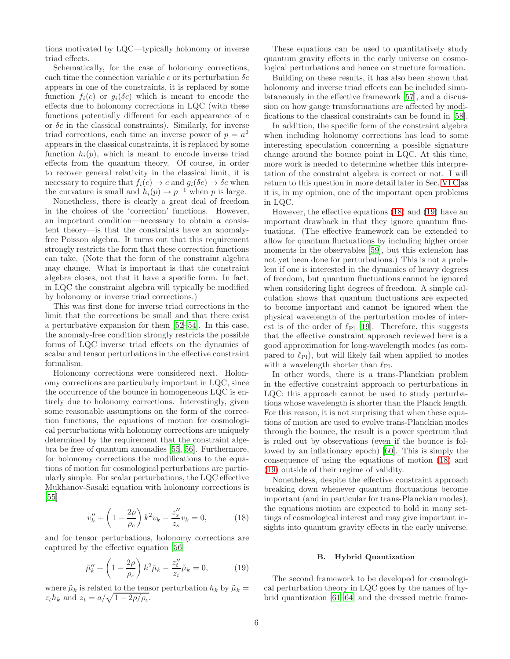tions motivated by LQC—typically holonomy or inverse triad effects.

Schematically, for the case of holonomy corrections, each time the connection variable c or its perturbation  $\delta c$ appears in one of the constraints, it is replaced by some function  $f_i(c)$  or  $g_i(\delta c)$  which is meant to encode the effects due to holonomy corrections in LQC (with these functions potentially different for each appearance of c or  $\delta c$  in the classical constraints). Similarly, for inverse triad corrections, each time an inverse power of  $p = a^2$ appears in the classical constraints, it is replaced by some function  $h_i(p)$ , which is meant to encode inverse triad effects from the quantum theory. Of course, in order to recover general relativity in the classical limit, it is necessary to require that  $f_i(c) \to c$  and  $g_i(\delta c) \to \delta c$  when the curvature is small and  $h_i(p) \to p^{-1}$  when p is large.

Nonetheless, there is clearly a great deal of freedom in the choices of the 'correction' functions. However, an important condition—necessary to obtain a consistent theory—is that the constraints have an anomalyfree Poisson algebra. It turns out that this requirement strongly restricts the form that these correction functions can take. (Note that the form of the constraint algebra may change. What is important is that the constraint algebra closes, not that it have a specific form. In fact, in LQC the constraint algebra will typically be modified by holonomy or inverse triad corrections.)

This was first done for inverse triad corrections in the limit that the corrections be small and that there exist a perturbative expansion for them [\[52](#page-16-9)[–54\]](#page-16-10). In this case, the anomaly-free condition strongly restricts the possible forms of LQC inverse triad effects on the dynamics of scalar and tensor perturbations in the effective constraint formalism.

Holonomy corrections were considered next. Holonomy corrections are particularly important in LQC, since the occurrence of the bounce in homogeneous LQC is entirely due to holonomy corrections. Interestingly, given some reasonable assumptions on the form of the correction functions, the equations of motion for cosmological perturbations with holonomy corrections are uniquely determined by the requirement that the constraint algebra be free of quantum anomalies [\[55,](#page-16-11) [56\]](#page-16-12). Furthermore, for holonomy corrections the modifications to the equations of motion for cosmological perturbations are particularly simple. For scalar perturbations, the LQC effective Mukhanov-Sasaki equation with holonomy corrections is  $\vert 55 \vert$ 

<span id="page-5-0"></span>
$$
v_k'' + \left(1 - \frac{2\rho}{\rho_c}\right)k^2 v_k - \frac{z_s''}{z_s}v_k = 0, \tag{18}
$$

and for tensor perturbations, holonomy corrections are captured by the effective equation [\[56\]](#page-16-12)

<span id="page-5-1"></span>
$$
\tilde{\mu}_k'' + \left(1 - \frac{2\rho}{\rho_c}\right) k^2 \tilde{\mu}_k - \frac{z_t''}{z_t} \tilde{\mu}_k = 0, \tag{19}
$$

where  $\tilde{\mu}_k$  is related to the tensor perturbation  $h_k$  by  $\tilde{\mu}_k =$  $z_t h_k$  and  $z_t = a/\sqrt{1 - 2\rho/\rho_c}$ .

These equations can be used to quantitatively study quantum gravity effects in the early universe on cosmological perturbations and hence on structure formation.

Building on these results, it has also been shown that holonomy and inverse triad effects can be included simulataneously in the effective framework [\[57\]](#page-16-13), and a discussion on how gauge transformations are affected by modifications to the classical constraints can be found in [\[58\]](#page-16-14).

In addition, the specific form of the constraint algebra when including holonomy corrections has lead to some interesting speculation concerning a possible signature change around the bounce point in LQC. At this time, more work is needed to determine whether this interpretation of the constraint algebra is correct or not. I will return to this question in more detail later in Sec. [VI C](#page-13-0) as it is, in my opinion, one of the important open problems in LQC.

However, the effective equations [\(18\)](#page-5-0) and [\(19\)](#page-5-1) have an important drawback in that they ignore quantum fluctuations. (The effective framework can be extended to allow for quantum fluctuations by including higher order moments in the observables [\[59](#page-16-15)], but this extension has not yet been done for perturbations.) This is not a problem if one is interested in the dynamics of heavy degrees of freedom, but quantum fluctuations cannot be ignored when considering light degrees of freedom. A simple calculation shows that quantum fluctuations are expected to become important and cannot be ignored when the physical wavelength of the perturbation modes of interest is of the order of  $\ell_{\text{Pl}}$  [\[19\]](#page-15-16). Therefore, this suggests that the effective constraint approach reviewed here is a good approximation for long-wavelength modes (as compared to  $\ell_{\text{Pl}}$ , but will likely fail when applied to modes with a wavelength shorter than  $\ell_{\text{Pl}}$ .

In other words, there is a trans-Planckian problem in the effective constraint approach to perturbations in LQC: this approach cannot be used to study perturbations whose wavelength is shorter than the Planck length. For this reason, it is not surprising that when these equations of motion are used to evolve trans-Planckian modes through the bounce, the result is a power spectrum that is ruled out by observations (even if the bounce is followed by an inflationary epoch) [\[60](#page-16-16)]. This is simply the consequence of using the equations of motion [\(18\)](#page-5-0) and [\(19\)](#page-5-1) outside of their regime of validity.

Nonetheless, despite the effective constraint approach breaking down whenever quantum fluctuations become important (and in particular for trans-Planckian modes), the equations motion are expected to hold in many settings of cosmological interest and may give important insights into quantum gravity effects in the early universe.

### B. Hybrid Quantization

The second framework to be developed for cosmological perturbation theory in LQC goes by the names of hybrid quantization [\[61](#page-16-17)[–64\]](#page-16-18) and the dressed metric frame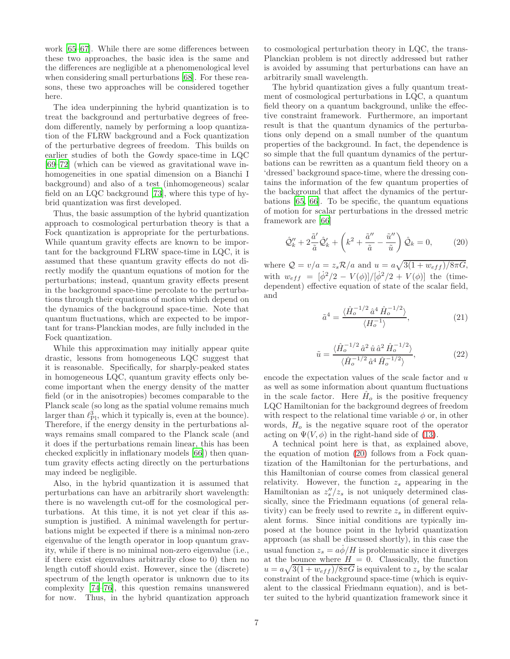work [\[65](#page-16-19)[–67\]](#page-16-20). While there are some differences between these two approaches, the basic idea is the same and the differences are negligible at a phenomenological level when considering small perturbations [\[68\]](#page-16-21). For these reasons, these two approaches will be considered together here.

The idea underpinning the hybrid quantization is to treat the background and perturbative degrees of freedom differently, namely by performing a loop quantization of the FLRW background and a Fock quantization of the perturbative degrees of freedom. This builds on earlier studies of both the Gowdy space-time in LQC [\[69](#page-16-22)[–72\]](#page-17-0) (which can be viewed as gravitational wave inhomogeneities in one spatial dimension on a Bianchi I background) and also of a test (inhomogeneous) scalar field on an LQC background [\[73](#page-17-1)], where this type of hybrid quantization was first developed.

Thus, the basic assumption of the hybrid quantization approach to cosmological perturbation theory is that a Fock quantization is appropriate for the perturbations. While quantum gravity effects are known to be important for the background FLRW space-time in LQC, it is assumed that these quantum gravity effects do not directly modify the quantum equations of motion for the perturbations; instead, quantum gravity effects present in the background space-time percolate to the perturbations through their equations of motion which depend on the dynamics of the background space-time. Note that quantum fluctuations, which are expected to be important for trans-Planckian modes, are fully included in the Fock quantization.

While this approximation may initially appear quite drastic, lessons from homogeneous LQC suggest that it is reasonable. Specifically, for sharply-peaked states in homogeneous LQC, quantum gravity effects only become important when the energy density of the matter field (or in the anisotropies) becomes comparable to the Planck scale (so long as the spatial volume remains much larger than  $\ell_{\text{Pl}}^3$ , which it typically is, even at the bounce). Therefore, if the energy density in the perturbations always remains small compared to the Planck scale (and it does if the perturbations remain linear, this has been checked explicitly in inflationary models [\[66\]](#page-16-23)) then quantum gravity effects acting directly on the perturbations may indeed be negligible.

Also, in the hybrid quantization it is assumed that perturbations can have an arbitrarily short wavelength: there is no wavelength cut-off for the cosmological perturbations. At this time, it is not yet clear if this assumption is justified. A minimal wavelength for perturbations might be expected if there is a minimal non-zero eigenvalue of the length operator in loop quantum gravity, while if there is no minimal non-zero eigenvalue (i.e., if there exist eigenvalues arbitrarily close to 0) then no length cutoff should exist. However, since the (discrete) spectrum of the length operator is unknown due to its complexity [\[74](#page-17-2)[–76\]](#page-17-3), this question remains unanswered for now. Thus, in the hybrid quantization approach

to cosmological perturbation theory in LQC, the trans-Planckian problem is not directly addressed but rather is avoided by assuming that perturbations can have an arbitrarily small wavelength.

The hybrid quantization gives a fully quantum treatment of cosmological perturbations in LQC, a quantum field theory on a quantum background, unlike the effective constraint framework. Furthermore, an important result is that the quantum dynamics of the perturbations only depend on a small number of the quantum properties of the background. In fact, the dependence is so simple that the full quantum dynamics of the perturbations can be rewritten as a quantum field theory on a 'dressed' background space-time, where the dressing contains the information of the few quantum properties of the background that affect the dynamics of the perturbations [\[65](#page-16-19), [66\]](#page-16-23). To be specific, the quantum equations of motion for scalar perturbations in the dressed metric framework are [\[66\]](#page-16-23)

<span id="page-6-0"></span>
$$
\hat{\mathcal{Q}}_k'' + 2\frac{\tilde{a}'}{\tilde{a}}\hat{\mathcal{Q}}_k' + \left(k^2 + \frac{\tilde{a}''}{\tilde{a}} - \frac{\tilde{u}''}{\tilde{u}}\right)\hat{\mathcal{Q}}_k = 0,\tag{20}
$$

where  $Q = v/a = z_s R/a$  and  $u = a\sqrt{3(1 + w_{eff})/8\pi G}$ , with  $w_{eff} = [\dot{\phi}^2/2 - V(\phi)]/[\dot{\phi}^2/2 + V(\phi)]$  the (timedependent) effective equation of state of the scalar field, and

$$
\tilde{a}^4 = \frac{\langle \hat{H}_o^{-1/2} \hat{a}^4 \hat{H}_o^{-1/2} \rangle}{\langle H_o^{-1} \rangle},\tag{21}
$$

$$
\tilde{u} = \frac{\langle \hat{H}_o^{-1/2} \hat{a}^2 \hat{u} \hat{a}^2 \hat{H}_o^{-1/2} \rangle}{\langle \hat{H}_o^{-1/2} \hat{a}^4 \hat{H}_o^{-1/2} \rangle},
$$
\n(22)

encode the expectation values of the scale factor and u as well as some information about quantum fluctuations in the scale factor. Here  $\hat{H}_o$  is the positive frequency LQC Hamiltonian for the background degrees of freedom with respect to the relational time variable  $\phi$  or, in other words,  $H<sub>o</sub>$  is the negative square root of the operator acting on  $\Psi(V, \phi)$  in the right-hand side of [\(13\)](#page-2-3).

A technical point here is that, as explained above, the equation of motion [\(20\)](#page-6-0) follows from a Fock quantization of the Hamiltonian for the perturbations, and this Hamiltonian of course comes from classical general relativity. However, the function  $z_s$  appearing in the Hamiltonian as  $z_s''/z_s$  is not uniquely determined classically, since the Friedmann equations (of general relativity) can be freely used to rewrite  $z_s$  in different equivalent forms. Since initial conditions are typically imposed at the bounce point in the hybrid quantization approach (as shall be discussed shortly), in this case the usual function  $z_s = a\dot{\phi}/H$  is problematic since it diverges at the bounce where  $H = 0$ . Classically, the function  $u = a\sqrt{3(1 + w_{eff})/8\pi G}$  is equivalent to  $z_s$  by the scalar constraint of the background space-time (which is equivalent to the classical Friedmann equation), and is better suited to the hybrid quantization framework since it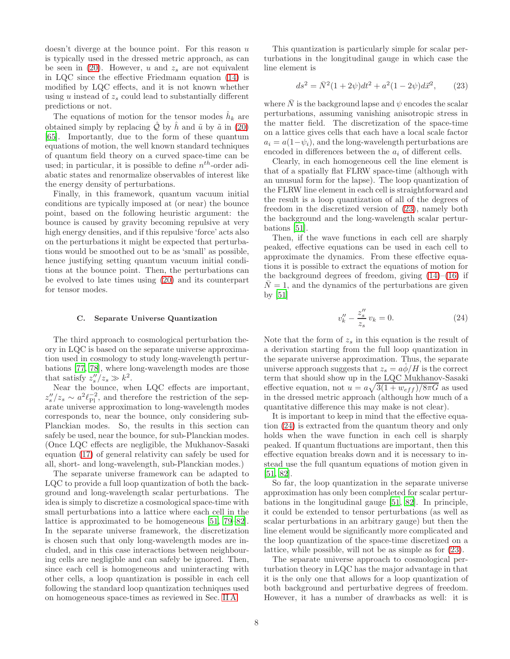doesn't diverge at the bounce point. For this reason  $u$ is typically used in the dressed metric approach, as can be seen in [\(20\)](#page-6-0). However, u and  $z_s$  are not equivalent in LQC since the effective Friedmann equation [\(14\)](#page-3-1) is modified by LQC effects, and it is not known whether using  $u$  instead of  $z_s$  could lead to substantially different predictions or not.

The equations of motion for the tensor modes  $\hat{h}_k$  are obtained simply by replacing  $\tilde{Q}$  by  $\tilde{h}$  and  $\tilde{u}$  by  $\tilde{a}$  in [\(20\)](#page-6-0) [\[65\]](#page-16-19). Importantly, due to the form of these quantum equations of motion, the well known standard techniques of quantum field theory on a curved space-time can be used; in particular, it is possible to define  $n<sup>th</sup>$ -order adiabatic states and renormalize observables of interest like the energy density of perturbations.

Finally, in this framework, quantum vacuum initial conditions are typically imposed at (or near) the bounce point, based on the following heuristic argument: the bounce is caused by gravity becoming repulsive at very high energy densities, and if this repulsive 'force' acts also on the perturbations it might be expected that perturbations would be smoothed out to be as 'small' as possible, hence justifying setting quantum vacuum initial conditions at the bounce point. Then, the perturbations can be evolved to late times using [\(20\)](#page-6-0) and its counterpart for tensor modes.

### C. Separate Universe Quantization

The third approach to cosmological perturbation theory in LQC is based on the separate universe approximation used in cosmology to study long-wavelength perturbations [\[77,](#page-17-4) [78\]](#page-17-5), where long-wavelength modes are those that satisfy  $z_s''/z_s \gg k^2$ .

Near the bounce, when LQC effects are important,  $z_s''/z_s \sim a^2 \ell_{\rm Pl}^{-2}$ , and therefore the restriction of the separate universe approximation to long-wavelength modes corresponds to, near the bounce, only considering sub-Planckian modes. So, the results in this section can safely be used, near the bounce, for sub-Planckian modes. (Once LQC effects are negligible, the Mukhanov-Sasaki equation [\(17\)](#page-4-1) of general relativity can safely be used for all, short- and long-wavelength, sub-Planckian modes.)

The separate universe framework can be adapted to LQC to provide a full loop quantization of both the background and long-wavelength scalar perturbations. The idea is simply to discretize a cosmological space-time with small perturbations into a lattice where each cell in the lattice is approximated to be homogeneous [\[51,](#page-16-8) [79](#page-17-6)[–82\]](#page-17-7). In the separate universe framework, the discretization is chosen such that only long-wavelength modes are included, and in this case interactions between neighbouring cells are negligible and can safely be ignored. Then, since each cell is homogeneous and uninteracting with other cells, a loop quantization is possible in each cell following the standard loop quantization techniques used on homogeneous space-times as reviewed in Sec. [II A.](#page-1-0)

This quantization is particularly simple for scalar perturbations in the longitudinal gauge in which case the line element is

<span id="page-7-0"></span>
$$
ds^{2} = \bar{N}^{2}(1+2\psi)dt^{2} + a^{2}(1-2\psi)d\vec{x}^{2}, \qquad (23)
$$

where  $\overline{N}$  is the background lapse and  $\psi$  encodes the scalar perturbations, assuming vanishing anisotropic stress in the matter field. The discretization of the space-time on a lattice gives cells that each have a local scale factor  $a_i = a(1-\psi_i)$ , and the long-wavelength perturbations are encoded in differences between the  $a_i$  of different cells.

Clearly, in each homogeneous cell the line element is that of a spatially flat FLRW space-time (although with an unusual form for the lapse). The loop quantization of the FLRW line element in each cell is straightforward and the result is a loop quantization of all of the degrees of freedom in the discretized version of [\(23\)](#page-7-0), namely both the background and the long-wavelength scalar perturbations [\[51\]](#page-16-8).

Then, if the wave functions in each cell are sharply peaked, effective equations can be used in each cell to approximate the dynamics. From these effective equations it is possible to extract the equations of motion for the background degrees of freedom, giving  $(14)$ – $(16)$  if  $N = 1$ , and the dynamics of the perturbations are given by [\[51\]](#page-16-8)

<span id="page-7-1"></span>
$$
v_k'' - \frac{z_s''}{z_s} v_k = 0.
$$
 (24)

Note that the form of  $z_s$  in this equation is the result of a derivation starting from the full loop quantization in the separate universe approximation. Thus, the separate universe approach suggests that  $z_s = a\dot{\phi}/H$  is the correct term that should show up in the LQC Mukhanov-Sasaki effective equation, not  $u = a\sqrt{3(1 + w_{eff})/8\pi G}$  as used in the dressed metric approach (although how much of a quantitative difference this may make is not clear).

It is important to keep in mind that the effective equation [\(24\)](#page-7-1) is extracted from the quantum theory and only holds when the wave function in each cell is sharply peaked. If quantum fluctuations are important, then this effective equation breaks down and it is necessary to instead use the full quantum equations of motion given in [\[51,](#page-16-8) [82\]](#page-17-7).

So far, the loop quantization in the separate universe approximation has only been completed for scalar perturbations in the longitudinal gauge [\[51](#page-16-8), [82\]](#page-17-7). In principle, it could be extended to tensor perturbations (as well as scalar perturbations in an arbitrary gauge) but then the line element would be significantly more complicated and the loop quantization of the space-time discretized on a lattice, while possible, will not be as simple as for [\(23\)](#page-7-0).

The separate universe approach to cosmological perturbation theory in LQC has the major advantage in that it is the only one that allows for a loop quantization of both background and perturbative degrees of freedom. However, it has a number of drawbacks as well: it is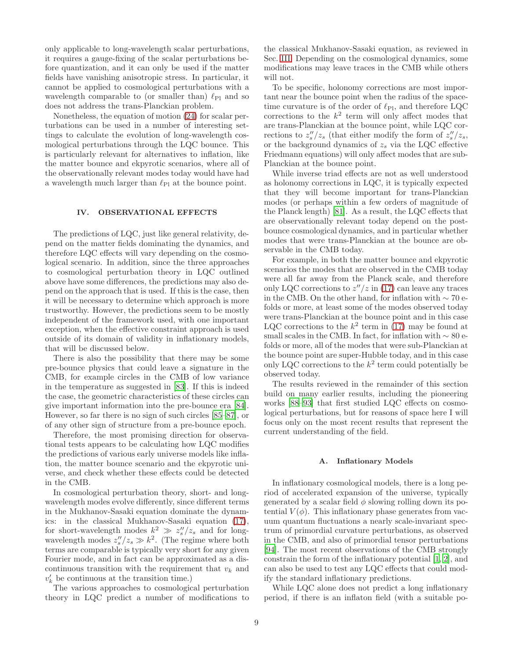only applicable to long-wavelength scalar perturbations, it requires a gauge-fixing of the scalar perturbations before quantization, and it can only be used if the matter fields have vanishing anisotropic stress. In particular, it cannot be applied to cosmological perturbations with a wavelength comparable to (or smaller than)  $\ell_{\text{Pl}}$  and so does not address the trans-Planckian problem.

Nonetheless, the equation of motion [\(24\)](#page-7-1) for scalar perturbations can be used in a number of interesting settings to calculate the evolution of long-wavelength cosmological perturbations through the LQC bounce. This is particularly relevant for alternatives to inflation, like the matter bounce and ekpyrotic scenarios, where all of the observationally relevant modes today would have had a wavelength much larger than  $\ell_{\text{Pl}}$  at the bounce point.

# <span id="page-8-0"></span>IV. OBSERVATIONAL EFFECTS

The predictions of LQC, just like general relativity, depend on the matter fields dominating the dynamics, and therefore LQC effects will vary depending on the cosmological scenario. In addition, since the three approaches to cosmological perturbation theory in LQC outlined above have some differences, the predictions may also depend on the approach that is used. If this is the case, then it will be necessary to determine which approach is more trustworthy. However, the predictions seem to be mostly independent of the framework used, with one important exception, when the effective constraint approach is used outside of its domain of validity in inflationary models, that will be discussed below.

There is also the possibility that there may be some pre-bounce physics that could leave a signature in the CMB, for example circles in the CMB of low variance in the temperature as suggested in [\[83](#page-17-8)]. If this is indeed the case, the geometric characteristics of these circles can give important information into the pre-bounce era [\[84\]](#page-17-9). However, so far there is no sign of such circles [\[85](#page-17-10)[–87\]](#page-17-11), or of any other sign of structure from a pre-bounce epoch.

Therefore, the most promising direction for observational tests appears to be calculating how LQC modifies the predictions of various early universe models like inflation, the matter bounce scenario and the ekpyrotic universe, and check whether these effects could be detected in the CMB.

In cosmological perturbation theory, short- and longwavelength modes evolve differently, since different terms in the Mukhanov-Sasaki equation dominate the dynamics: in the classical Mukhanov-Sasaki equation [\(17\)](#page-4-1), for short-wavelength modes  $k^2 \gg z_s''/z_s$  and for longwavelength modes  $z_s''/z_s \gg k^2$ . (The regime where both terms are comparable is typically very short for any given Fourier mode, and in fact can be approximated as a discontinuous transition with the requirement that  $v_k$  and  $v_k'$  be continuous at the transition time.)

The various approaches to cosmological perturbation theory in LQC predict a number of modifications to

the classical Mukhanov-Sasaki equation, as reviewed in Sec. [III.](#page-4-0) Depending on the cosmological dynamics, some modifications may leave traces in the CMB while others will not.

To be specific, holonomy corrections are most important near the bounce point when the radius of the spacetime curvature is of the order of  $\ell_{\text{Pl}}$ , and therefore LQC corrections to the  $k^2$  term will only affect modes that are trans-Planckian at the bounce point, while LQC corrections to  $z_s''/z_s$  (that either modify the form of  $z_s''/z_s$ , or the background dynamics of  $z_s$  via the LQC effective Friedmann equations) will only affect modes that are sub-Planckian at the bounce point.

While inverse triad effects are not as well understood as holonomy corrections in LQC, it is typically expected that they will become important for trans-Planckian modes (or perhaps within a few orders of magnitude of the Planck length) [\[81](#page-17-12)]. As a result, the LQC effects that are observationally relevant today depend on the postbounce cosmological dynamics, and in particular whether modes that were trans-Planckian at the bounce are observable in the CMB today.

For example, in both the matter bounce and ekpyrotic scenarios the modes that are observed in the CMB today were all far away from the Planck scale, and therefore only LQC corrections to  $z''/z$  in [\(17\)](#page-4-1) can leave any traces in the CMB. On the other hand, for inflation with ∼ 70 efolds or more, at least some of the modes observed today were trans-Planckian at the bounce point and in this case LQC corrections to the  $k^2$  term in [\(17\)](#page-4-1) may be found at small scales in the CMB. In fact, for inflation with  $\sim 80$  efolds or more, all of the modes that were sub-Planckian at the bounce point are super-Hubble today, and in this case only LQC corrections to the  $k^2$  term could potentially be observed today.

The results reviewed in the remainder of this section build on many earlier results, including the pioneering works [\[88](#page-17-13)[–93\]](#page-17-14) that first studied LQC effects on cosmological perturbations, but for reasons of space here I will focus only on the most recent results that represent the current understanding of the field.

### A. Inflationary Models

In inflationary cosmological models, there is a long period of accelerated expansion of the universe, typically generated by a scalar field  $\phi$  slowing rolling down its potential  $V(\phi)$ . This inflationary phase generates from vacuum quantum fluctuations a nearly scale-invariant spectrum of primordial curvature perturbations, as observed in the CMB, and also of primordial tensor perturbations [\[94\]](#page-17-15). The most recent observations of the CMB strongly constrain the form of the inflationary potential [\[1,](#page-15-0) [2\]](#page-15-1), and can also be used to test any LQC effects that could modify the standard inflationary predictions.

While LQC alone does not predict a long inflationary period, if there is an inflaton field (with a suitable po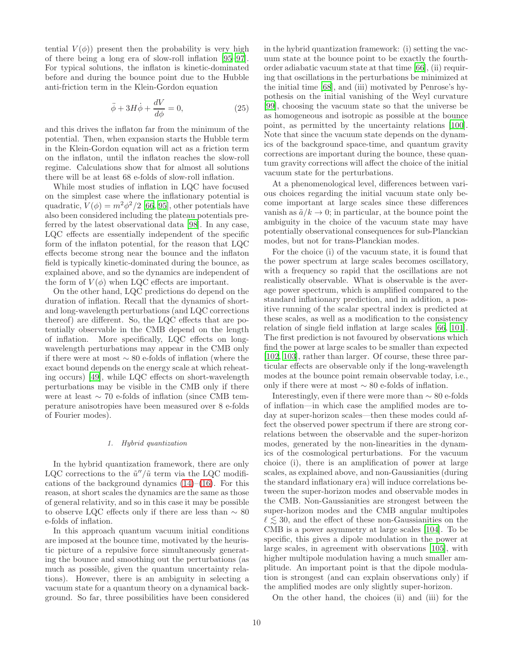tential  $V(\phi)$  present then the probability is very high of there being a long era of slow-roll inflation [\[95](#page-17-16)[–97\]](#page-17-17). For typical solutions, the inflaton is kinetic-dominated before and during the bounce point due to the Hubble anti-friction term in the Klein-Gordon equation

$$
\ddot{\phi} + 3H\dot{\phi} + \frac{dV}{d\phi} = 0, \qquad (25)
$$

and this drives the inflaton far from the minimum of the potential. Then, when expansion starts the Hubble term in the Klein-Gordon equation will act as a friction term on the inflaton, until the inflaton reaches the slow-roll regime. Calculations show that for almost all solutions there will be at least 68 e-folds of slow-roll inflation.

While most studies of inflation in LQC have focused on the simplest case where the inflationary potential is quadratic,  $V(\phi) = m^2 \phi^2/2$  [\[66,](#page-16-23) [95](#page-17-16)], other potentials have also been considered including the plateau potentials preferred by the latest observational data [\[98](#page-17-18)]. In any case, LQC effects are essentially independent of the specific form of the inflaton potential, for the reason that LQC effects become strong near the bounce and the inflaton field is typically kinetic-dominated during the bounce, as explained above, and so the dynamics are independent of the form of  $V(\phi)$  when LQC effects are important.

On the other hand, LQC predictions do depend on the duration of inflation. Recall that the dynamics of shortand long-wavelength perturbations (and LQC corrections thereof) are different. So, the LQC effects that are potentially observable in the CMB depend on the length of inflation. More specifically, LQC effects on longwavelength perturbations may appear in the CMB only if there were at most ∼ 80 e-folds of inflation (where the exact bound depends on the energy scale at which reheating occurs) [\[49](#page-16-7)], while LQC effects on short-wavelength perturbations may be visible in the CMB only if there were at least ∼ 70 e-folds of inflation (since CMB temperature anisotropies have been measured over 8 e-folds of Fourier modes).

#### 1. Hybrid quantization

In the hybrid quantization framework, there are only LQC corrections to the  $\tilde{u}''/\tilde{u}$  term via the LQC modifications of the background dynamics  $(14)$ – $(16)$ . For this reason, at short scales the dynamics are the same as those of general relativity, and so in this case it may be possible to observe LQC effects only if there are less than  $∼ 80$ e-folds of inflation.

In this approach quantum vacuum initial conditions are imposed at the bounce time, motivated by the heuristic picture of a repulsive force simultaneously generating the bounce and smoothing out the perturbations (as much as possible, given the quantum uncertainty relations). However, there is an ambiguity in selecting a vacuum state for a quantum theory on a dynamical background. So far, three possibilities have been considered in the hybrid quantization framework: (i) setting the vacuum state at the bounce point to be exactly the fourthorder adiabatic vacuum state at that time [\[66\]](#page-16-23), (ii) requiring that oscillations in the perturbations be minimized at the initial time [\[68\]](#page-16-21), and (iii) motivated by Penrose's hypothesis on the initial vanishing of the Weyl curvature [\[99\]](#page-17-19), choosing the vacuum state so that the universe be as homogeneous and isotropic as possible at the bounce point, as permitted by the uncertainty relations [\[100\]](#page-17-20). Note that since the vacuum state depends on the dynamics of the background space-time, and quantum gravity corrections are important during the bounce, these quantum gravity corrections will affect the choice of the initial vacuum state for the perturbations.

At a phenomenological level, differences between various choices regarding the initial vacuum state only become important at large scales since these differences vanish as  $\tilde{a}/k \to 0$ ; in particular, at the bounce point the ambiguity in the choice of the vacuum state may have potentially observational consequences for sub-Planckian modes, but not for trans-Planckian modes.

For the choice (i) of the vacuum state, it is found that the power spectrum at large scales becomes oscillatory, with a frequency so rapid that the oscillations are not realistically observable. What is observable is the average power spectrum, which is amplified compared to the standard inflationary prediction, and in addition, a positive running of the scalar spectral index is predicted at these scales, as well as a modification to the consistency relation of single field inflation at large scales [\[66,](#page-16-23) [101\]](#page-17-21). The first prediction is not favoured by observations which find the power at large scales to be smaller than expected [\[102,](#page-17-22) [103](#page-17-23)], rather than larger. Of course, these three particular effects are observable only if the long-wavelength modes at the bounce point remain observable today, i.e., only if there were at most  $\sim 80$  e-folds of inflation.

Interestingly, even if there were more than  $\sim 80$  e-folds of inflation—in which case the amplified modes are today at super-horizon scales—then these modes could affect the observed power spectrum if there are strong correlations between the observable and the super-horizon modes, generated by the non-linearities in the dynamics of the cosmological perturbations. For the vacuum choice (i), there is an amplification of power at large scales, as explained above, and non-Gaussianities (during the standard inflationary era) will induce correlations between the super-horizon modes and observable modes in the CMB. Non-Gaussianities are strongest between the super-horizon modes and the CMB angular multipoles  $\ell \leq 30$ , and the effect of these non-Gaussianities on the CMB is a power asymmetry at large scales [\[104\]](#page-17-24). To be specific, this gives a dipole modulation in the power at large scales, in agreement with observations [\[105](#page-17-25)], with higher multipole modulation having a much smaller amplitude. An important point is that the dipole modulation is strongest (and can explain observations only) if the amplified modes are only slightly super-horizon.

On the other hand, the choices (ii) and (iii) for the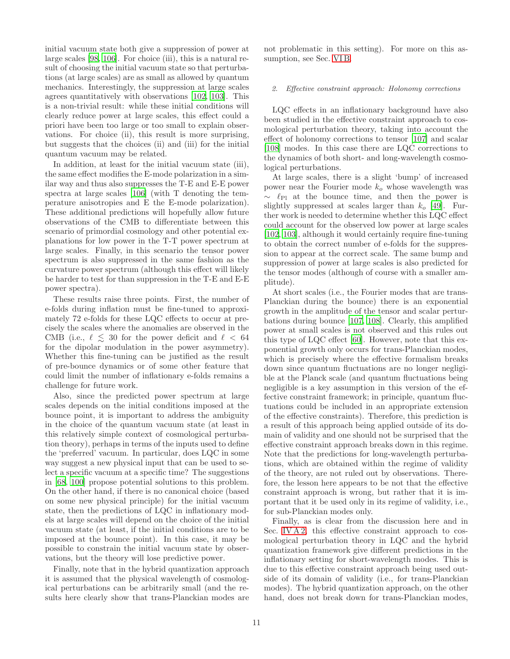initial vacuum state both give a suppression of power at large scales [\[98,](#page-17-18) [106\]](#page-17-26). For choice (iii), this is a natural result of choosing the initial vacuum state so that perturbations (at large scales) are as small as allowed by quantum mechanics. Interestingly, the suppression at large scales agrees quantitatively with observations [\[102,](#page-17-22) [103\]](#page-17-23). This is a non-trivial result: while these initial conditions will clearly reduce power at large scales, this effect could a priori have been too large or too small to explain observations. For choice (ii), this result is more surprising, but suggests that the choices (ii) and (iii) for the initial quantum vacuum may be related.

In addition, at least for the initial vacuum state (iii), the same effect modifies the E-mode polarization in a similar way and thus also suppresses the T-E and E-E power spectra at large scales [\[106\]](#page-17-26) (with T denoting the temperature anisotropies and E the E-mode polarization). These additional predictions will hopefully allow future observations of the CMB to differentiate between this scenario of primordial cosmology and other potential explanations for low power in the T-T power spectrum at large scales. Finally, in this scenario the tensor power spectrum is also suppressed in the same fashion as the curvature power spectrum (although this effect will likely be harder to test for than suppression in the T-E and E-E power spectra).

These results raise three points. First, the number of e-folds during inflation must be fine-tuned to approximately 72 e-folds for these LQC effects to occur at precisely the scales where the anomalies are observed in the CMB (i.e.,  $\ell \leq 30$  for the power deficit and  $\ell < 64$ for the dipolar modulation in the power asymmetry). Whether this fine-tuning can be justified as the result of pre-bounce dynamics or of some other feature that could limit the number of inflationary e-folds remains a challenge for future work.

Also, since the predicted power spectrum at large scales depends on the initial conditions imposed at the bounce point, it is important to address the ambiguity in the choice of the quantum vacuum state (at least in this relatively simple context of cosmological perturbation theory), perhaps in terms of the inputs used to define the 'preferred' vacuum. In particular, does LQC in some way suggest a new physical input that can be used to select a specific vacuum at a specific time? The suggestions in [\[68,](#page-16-21) [100](#page-17-20)] propose potential solutions to this problem. On the other hand, if there is no canonical choice (based on some new physical principle) for the initial vacuum state, then the predictions of LQC in inflationary models at large scales will depend on the choice of the initial vacuum state (at least, if the initial conditions are to be imposed at the bounce point). In this case, it may be possible to constrain the initial vacuum state by observations, but the theory will lose predictive power.

Finally, note that in the hybrid quantization approach it is assumed that the physical wavelength of cosmological perturbations can be arbitrarily small (and the results here clearly show that trans-Planckian modes are not problematic in this setting). For more on this assumption, see Sec. [VI B.](#page-13-1)

### <span id="page-10-0"></span>2. Effective constraint approach: Holonomy corrections

LQC effects in an inflationary background have also been studied in the effective constraint approach to cosmological perturbation theory, taking into account the effect of holonomy corrections to tensor [\[107](#page-17-27)] and scalar [\[108\]](#page-17-28) modes. In this case there are LQC corrections to the dynamics of both short- and long-wavelength cosmological perturbations.

At large scales, there is a slight 'bump' of increased power near the Fourier mode  $k_o$  whose wavelength was  $\sim \ell_{\text{Pl}}$  at the bounce time, and then the power is slightly suppressed at scales larger than  $k_o$  [\[49](#page-16-7)]. Further work is needed to determine whether this LQC effect could account for the observed low power at large scales [\[102,](#page-17-22) [103](#page-17-23)], although it would certainly require fine-tuning to obtain the correct number of e-folds for the suppression to appear at the correct scale. The same bump and suppression of power at large scales is also predicted for the tensor modes (although of course with a smaller amplitude).

At short scales (i.e., the Fourier modes that are trans-Planckian during the bounce) there is an exponential growth in the amplitude of the tensor and scalar perturbations during bounce [\[107](#page-17-27), [108](#page-17-28)]. Clearly, this amplified power at small scales is not observed and this rules out this type of LQC effect [\[60](#page-16-16)]. However, note that this exponential growth only occurs for trans-Planckian modes, which is precisely where the effective formalism breaks down since quantum fluctuations are no longer negligible at the Planck scale (and quantum fluctuations being negligible is a key assumption in this version of the effective constraint framework; in principle, quantum fluctuations could be included in an appropriate extension of the effective constraints). Therefore, this prediction is a result of this approach being applied outside of its domain of validity and one should not be surprised that the effective constraint approach breaks down in this regime. Note that the predictions for long-wavelength perturbations, which are obtained within the regime of validity of the theory, are not ruled out by observations. Therefore, the lesson here appears to be not that the effective constraint approach is wrong, but rather that it is important that it be used only in its regime of validity, i.e., for sub-Planckian modes only.

Finally, as is clear from the discussion here and in Sec. [IV A 2,](#page-10-0) this effective constraint approach to cosmological perturbation theory in LQC and the hybrid quantization framework give different predictions in the inflationary setting for short-wavelength modes. This is due to this effective constraint approach being used outside of its domain of validity (i.e., for trans-Planckian modes). The hybrid quantization approach, on the other hand, does not break down for trans-Planckian modes,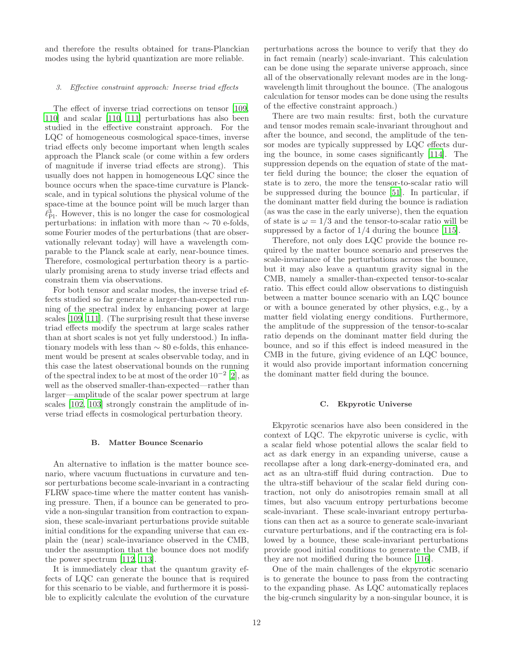and therefore the results obtained for trans-Planckian modes using the hybrid quantization are more reliable.

# 3. Effective constraint approach: Inverse triad effects

The effect of inverse triad corrections on tensor [\[109,](#page-18-0) [110\]](#page-18-1) and scalar [\[110,](#page-18-1) [111](#page-18-2)] perturbations has also been studied in the effective constraint approach. For the LQC of homogeneous cosmological space-times, inverse triad effects only become important when length scales approach the Planck scale (or come within a few orders of magnitude if inverse triad effects are strong). This usually does not happen in homogeneous LQC since the bounce occurs when the space-time curvature is Planckscale, and in typical solutions the physical volume of the space-time at the bounce point will be much larger than  $\ell_{\rm Pl}^3$ . However, this is no longer the case for cosmological perturbations: in inflation with more than  $\sim$  70 e-folds, some Fourier modes of the perturbations (that are observationally relevant today) will have a wavelength comparable to the Planck scale at early, near-bounce times. Therefore, cosmological perturbation theory is a particularly promising arena to study inverse triad effects and constrain them via observations.

For both tensor and scalar modes, the inverse triad effects studied so far generate a larger-than-expected running of the spectral index by enhancing power at large scales [\[109,](#page-18-0) [111\]](#page-18-2). (The surprising result that these inverse triad effects modify the spectrum at large scales rather than at short scales is not yet fully understood.) In inflationary models with less than  $\sim 80$  e-folds, this enhancement would be present at scales observable today, and in this case the latest observational bounds on the running of the spectral index to be at most of the order  $10^{-2}$  [\[2](#page-15-1)], as well as the observed smaller-than-expected—rather than larger—amplitude of the scalar power spectrum at large scales [\[102,](#page-17-22) [103\]](#page-17-23) strongly constrain the amplitude of inverse triad effects in cosmological perturbation theory.

#### B. Matter Bounce Scenario

An alternative to inflation is the matter bounce scenario, where vacuum fluctuations in curvature and tensor perturbations become scale-invariant in a contracting FLRW space-time where the matter content has vanishing pressure. Then, if a bounce can be generated to provide a non-singular transition from contraction to expansion, these scale-invariant perturbations provide suitable initial conditions for the expanding universe that can explain the (near) scale-invariance observed in the CMB, under the assumption that the bounce does not modify the power spectrum [\[112,](#page-18-3) [113\]](#page-18-4).

It is immediately clear that the quantum gravity effects of LQC can generate the bounce that is required for this scenario to be viable, and furthermore it is possible to explicitly calculate the evolution of the curvature

perturbations across the bounce to verify that they do in fact remain (nearly) scale-invariant. This calculation can be done using the separate universe approach, since all of the observationally relevant modes are in the longwavelength limit throughout the bounce. (The analogous calculation for tensor modes can be done using the results of the effective constraint approach.)

There are two main results: first, both the curvature and tensor modes remain scale-invariant throughout and after the bounce, and second, the amplitude of the tensor modes are typically suppressed by LQC effects during the bounce, in some cases significantly [\[114](#page-18-5)]. The suppression depends on the equation of state of the matter field during the bounce; the closer the equation of state is to zero, the more the tensor-to-scalar ratio will be suppressed during the bounce [\[51\]](#page-16-8). In particular, if the dominant matter field during the bounce is radiation (as was the case in the early universe), then the equation of state is  $\omega = 1/3$  and the tensor-to-scalar ratio will be suppressed by a factor of 1/4 during the bounce [\[115\]](#page-18-6).

Therefore, not only does LQC provide the bounce required by the matter bounce scenario and preserves the scale-invariance of the perturbations across the bounce, but it may also leave a quantum gravity signal in the CMB, namely a smaller-than-expected tensor-to-scalar ratio. This effect could allow observations to distinguish between a matter bounce scenario with an LQC bounce or with a bounce generated by other physics, e.g., by a matter field violating energy conditions. Furthermore, the amplitude of the suppression of the tensor-to-scalar ratio depends on the dominant matter field during the bounce, and so if this effect is indeed measured in the CMB in the future, giving evidence of an LQC bounce, it would also provide important information concerning the dominant matter field during the bounce.

#### C. Ekpyrotic Universe

Ekpyrotic scenarios have also been considered in the context of LQC. The ekpyrotic universe is cyclic, with a scalar field whose potential allows the scalar field to act as dark energy in an expanding universe, cause a recollapse after a long dark-energy-dominated era, and act as an ultra-stiff fluid during contraction. Due to the ultra-stiff behaviour of the scalar field during contraction, not only do anisotropies remain small at all times, but also vacuum entropy perturbations become scale-invariant. These scale-invariant entropy perturbations can then act as a source to generate scale-invariant curvature perturbations, and if the contracting era is followed by a bounce, these scale-invariant perturbations provide good initial conditions to generate the CMB, if they are not modified during the bounce [\[116\]](#page-18-7).

One of the main challenges of the ekpyrotic scenario is to generate the bounce to pass from the contracting to the expanding phase. As LQC automatically replaces the big-crunch singularity by a non-singular bounce, it is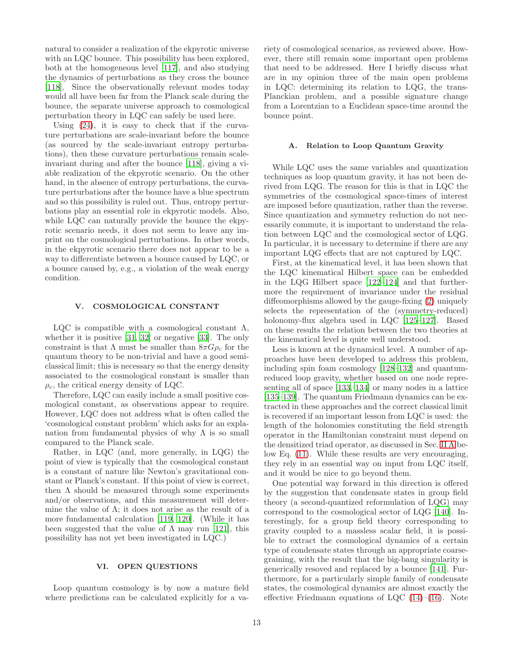natural to consider a realization of the ekpyrotic universe with an LQC bounce. This possibility has been explored, both at the homogeneous level [\[117\]](#page-18-8), and also studying the dynamics of perturbations as they cross the bounce [\[118\]](#page-18-9). Since the observationally relevant modes today would all have been far from the Planck scale during the bounce, the separate universe approach to cosmological perturbation theory in LQC can safely be used here.

Using [\(24\)](#page-7-1), it is easy to check that if the curvature perturbations are scale-invariant before the bounce (as sourced by the scale-invariant entropy perturbations), then these curvature perturbations remain scaleinvariant during and after the bounce [\[118](#page-18-9)], giving a viable realization of the ekpyrotic scenario. On the other hand, in the absence of entropy perturbations, the curvature perturbations after the bounce have a blue spectrum and so this possibility is ruled out. Thus, entropy perturbations play an essential role in ekpyrotic models. Also, while LQC can naturally provide the bounce the ekpyrotic scenario needs, it does not seem to leave any imprint on the cosmological perturbations. In other words, in the ekpyrotic scenario there does not appear to be a way to differentiate between a bounce caused by LQC, or a bounce caused by, e.g., a violation of the weak energy condition.

# <span id="page-12-0"></span>V. COSMOLOGICAL CONSTANT

LQC is compatible with a cosmological constant  $\Lambda$ , whether it is positive [\[31,](#page-15-26) [32\]](#page-15-29) or negative [\[33\]](#page-15-27). The only constraint is that  $\Lambda$  must be smaller than  $8\pi G\rho_c$  for the quantum theory to be non-trivial and have a good semiclassical limit; this is necessary so that the energy density associated to the cosmological constant is smaller than  $\rho_c$ , the critical energy density of LQC.

Therefore, LQC can easily include a small positive cosmological constant, as observations appear to require. However, LQC does not address what is often called the 'cosmological constant problem' which asks for an explanation from fundamental physics of why  $\Lambda$  is so small compared to the Planck scale.

Rather, in LQC (and, more generally, in LQG) the point of view is typically that the cosmological constant is a constant of nature like Newton's gravitational constant or Planck's constant. If this point of view is correct, then  $\Lambda$  should be measured through some experiments and/or observations, and this measurement will determine the value of  $\Lambda$ ; it does not arise as the result of a more fundamental calculation [\[119,](#page-18-10) [120](#page-18-11)]. (While it has been suggested that the value of  $\Lambda$  may run [\[121](#page-18-12)], this possibility has not yet been investigated in LQC.)

### <span id="page-12-1"></span>VI. OPEN QUESTIONS

Loop quantum cosmology is by now a mature field where predictions can be calculated explicitly for a variety of cosmological scenarios, as reviewed above. However, there still remain some important open problems that need to be addressed. Here I briefly discuss what are in my opinion three of the main open problems in LQC: determining its relation to LQG, the trans-Planckian problem, and a possible signature change from a Lorentzian to a Euclidean space-time around the bounce point.

#### A. Relation to Loop Quantum Gravity

While LQC uses the same variables and quantization techniques as loop quantum gravity, it has not been derived from LQG. The reason for this is that in LQC the symmetries of the cosmological space-times of interest are imposed before quantization, rather than the reverse. Since quantization and symmetry reduction do not necessarily commute, it is important to understand the relation between LQC and the cosmological sector of LQG. In particular, it is necessary to determine if there are any important LQG effects that are not captured by LQC.

First, at the kinematical level, it has been shown that the LQC kinematical Hilbert space can be embedded in the LQG Hilbert space [\[122](#page-18-13)[–124\]](#page-18-14) and that furthermore the requirement of invariance under the residual diffeomorphisms allowed by the gauge-fixing [\(2\)](#page-1-4) uniquely selects the representation of the (symmetry-reduced) holonomy-flux algebra used in LQC [\[125–](#page-18-15)[127\]](#page-18-16). Based on these results the relation between the two theories at the kinematical level is quite well understood.

Less is known at the dynamical level. A number of approaches have been developed to address this problem, including spin foam cosmology [\[128](#page-18-17)[–132\]](#page-18-18) and quantumreduced loop gravity, whether based on one node representing all of space [\[133,](#page-18-19) [134\]](#page-18-20) or many nodes in a lattice [\[135](#page-18-21)[–139\]](#page-18-22). The quantum Friedmann dynamics can be extracted in these approaches and the correct classical limit is recovered if an important lesson from LQC is used: the length of the holonomies constituting the field strength operator in the Hamiltonian constraint must depend on the densitized triad operator, as discussed in Sec. [II A](#page-1-0) below Eq. [\(11\)](#page-2-2). While these results are very encouraging, they rely in an essential way on input from LQC itself, and it would be nice to go beyond them.

One potential way forward in this direction is offered by the suggestion that condensate states in group field theory (a second-quantized reformulation of LQG) may correspond to the cosmological sector of LQG [\[140](#page-18-23)]. Interestingly, for a group field theory corresponding to gravity coupled to a massless scalar field, it is possible to extract the cosmological dynamics of a certain type of condensate states through an appropriate coarsegraining, with the result that the big-bang singularity is generically resoved and replaced by a bounce [\[141\]](#page-18-24). Furthermore, for a particularly simple family of condensate states, the cosmological dynamics are almost exactly the effective Friedmann equations of LQC  $(14)$ – $(16)$ . Note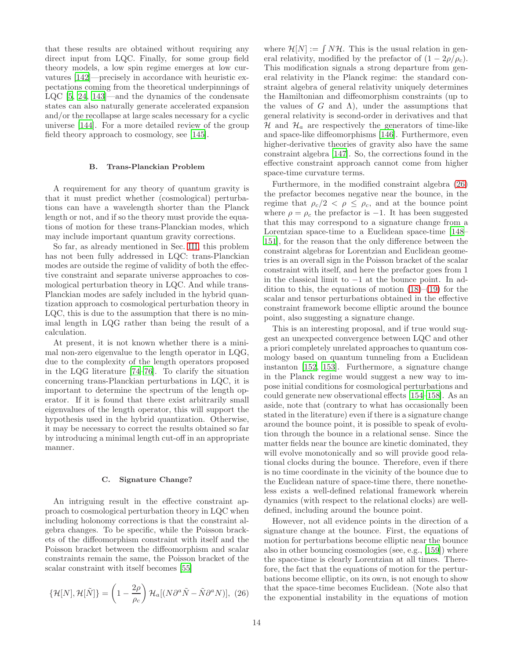that these results are obtained without requiring any direct input from LQC. Finally, for some group field theory models, a low spin regime emerges at low curvatures [\[142\]](#page-18-25)—precisely in accordance with heuristic expectations coming from the theoretical underpinnings of LQC [\[5,](#page-15-4) [24,](#page-15-20) [143\]](#page-18-26)—and the dynamics of the condensate states can also naturally generate accelerated expansion and/or the recollapse at large scales necessary for a cyclic universe [\[144\]](#page-18-27). For a more detailed review of the group field theory approach to cosmology, see [\[145\]](#page-18-28).

### <span id="page-13-1"></span>B. Trans-Planckian Problem

A requirement for any theory of quantum gravity is that it must predict whether (cosmological) perturbations can have a wavelength shorter than the Planck length or not, and if so the theory must provide the equations of motion for these trans-Planckian modes, which may include important quantum gravity corrections.

So far, as already mentioned in Sec. [III,](#page-4-0) this problem has not been fully addressed in LQC: trans-Planckian modes are outside the regime of validity of both the effective constraint and separate universe approaches to cosmological perturbation theory in LQC. And while trans-Planckian modes are safely included in the hybrid quantization approach to cosmological perturbation theory in LQC, this is due to the assumption that there is no minimal length in LQG rather than being the result of a calculation.

At present, it is not known whether there is a minimal non-zero eigenvalue to the length operator in LQG, due to the complexity of the length operators proposed in the LQG literature [\[74](#page-17-2)[–76\]](#page-17-3). To clarify the situation concerning trans-Planckian perturbations in LQC, it is important to determine the spectrum of the length operator. If it is found that there exist arbitrarily small eigenvalues of the length operator, this will support the hypothesis used in the hybrid quantization. Otherwise, it may be necessary to correct the results obtained so far by introducing a minimal length cut-off in an appropriate manner.

### <span id="page-13-0"></span>C. Signature Change?

An intriguing result in the effective constraint approach to cosmological perturbation theory in LQC when including holonomy corrections is that the constraint algebra changes. To be specific, while the Poisson brackets of the diffeomorphism constraint with itself and the Poisson bracket between the diffeomorphism and scalar constraints remain the same, the Poisson bracket of the scalar constraint with itself becomes [\[55](#page-16-11)]

<span id="page-13-2"></span>
$$
\{\mathcal{H}[N], \mathcal{H}[\tilde{N}]\} = \left(1 - \frac{2\rho}{\rho_c}\right) \mathcal{H}_a[(N\partial^a \tilde{N} - \tilde{N}\partial^a N)], (26)
$$

where  $\mathcal{H}[N] := \int N \mathcal{H}$ . This is the usual relation in general relativity, modified by the prefactor of  $(1 - 2\rho/\rho_c)$ . This modification signals a strong departure from general relativity in the Planck regime: the standard constraint algebra of general relativity uniquely determines the Hamiltonian and diffeomorphism constraints (up to the values of G and  $\Lambda$ ), under the assumptions that general relativity is second-order in derivatives and that  $\mathcal{H}$  and  $\mathcal{H}_a$  are respectively the generators of time-like and space-like diffeomorphisms [\[146\]](#page-18-29). Furthermore, even higher-derivative theories of gravity also have the same constraint algebra [\[147\]](#page-18-30). So, the corrections found in the effective constraint approach cannot come from higher space-time curvature terms.

Furthermore, in the modified constraint algebra [\(26\)](#page-13-2) the prefactor becomes negative near the bounce, in the regime that  $\rho_c/2 < \rho \leq \rho_c$ , and at the bounce point where  $\rho = \rho_c$  the prefactor is -1. It has been suggested that this may correspond to a signature change from a Lorentzian space-time to a Euclidean space-time [\[148](#page-18-31)– [151\]](#page-19-0), for the reason that the only difference between the constraint algebras for Lorentzian and Euclidean geometries is an overall sign in the Poisson bracket of the scalar constraint with itself, and here the prefactor goes from 1 in the classical limit to −1 at the bounce point. In addition to this, the equations of motion  $(18)$ – $(19)$  for the scalar and tensor perturbations obtained in the effective constraint framework become elliptic around the bounce point, also suggesting a signature change.

This is an interesting proposal, and if true would suggest an unexpected convergence between LQC and other a priori completely unrelated approaches to quantum cosmology based on quantum tunneling from a Euclidean instanton [\[152](#page-19-1), [153\]](#page-19-2). Furthermore, a signature change in the Planck regime would suggest a new way to impose initial conditions for cosmological perturbations and could generate new observational effects [\[154](#page-19-3)[–158](#page-19-4)]. As an aside, note that (contrary to what has occasionally been stated in the literature) even if there is a signature change around the bounce point, it is possible to speak of evolution through the bounce in a relational sense. Since the matter fields near the bounce are kinetic dominated, they will evolve monotonically and so will provide good relational clocks during the bounce. Therefore, even if there is no time coordinate in the vicinity of the bounce due to the Euclidean nature of space-time there, there nonetheless exists a well-defined relational framework wherein dynamics (with respect to the relational clocks) are welldefined, including around the bounce point.

However, not all evidence points in the direction of a signature change at the bounce. First, the equations of motion for perturbations become elliptic near the bounce also in other bouncing cosmologies (see, e.g., [\[159\]](#page-19-5)) where the space-time is clearly Lorentzian at all times. Therefore, the fact that the equations of motion for the perturbations become elliptic, on its own, is not enough to show that the space-time becomes Euclidean. (Note also that the exponential instability in the equations of motion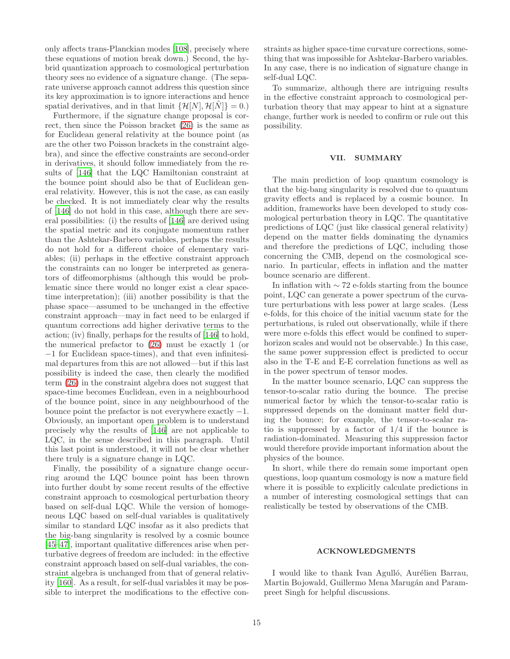only affects trans-Planckian modes [\[108\]](#page-17-28), precisely where these equations of motion break down.) Second, the hybrid quantization approach to cosmological perturbation theory sees no evidence of a signature change. (The separate universe approach cannot address this question since its key approximation is to ignore interactions and hence spatial derivatives, and in that limit  $\{\mathcal{H}[N], \mathcal{H}[\tilde{N}]\} = 0.$ 

Furthermore, if the signature change proposal is correct, then since the Poisson bracket [\(26\)](#page-13-2) is the same as for Euclidean general relativity at the bounce point (as are the other two Poisson brackets in the constraint algebra), and since the effective constraints are second-order in derivatives, it should follow immediately from the results of [\[146\]](#page-18-29) that the LQC Hamiltonian constraint at the bounce point should also be that of Euclidean general relativity. However, this is not the case, as can easily be checked. It is not immediately clear why the results of [\[146](#page-18-29)] do not hold in this case, although there are several possibilities: (i) the results of [\[146](#page-18-29)] are derived using the spatial metric and its conjugate momentum rather than the Ashtekar-Barbero variables, perhaps the results do not hold for a different choice of elementary variables; (ii) perhaps in the effective constraint approach the constraints can no longer be interpreted as generators of diffeomorphisms (although this would be problematic since there would no longer exist a clear spacetime interpretation); (iii) another possibility is that the phase space—assumed to be unchanged in the effective constraint approach—may in fact need to be enlarged if quantum corrections add higher derivative terms to the action; (iv) finally, perhaps for the results of [\[146](#page-18-29)] to hold, the numerical prefactor to [\(26\)](#page-13-2) must be exactly 1 (or −1 for Euclidean space-times), and that even infinitesimal departures from this are not allowed—but if this last possibility is indeed the case, then clearly the modified term [\(26\)](#page-13-2) in the constraint algebra does not suggest that space-time becomes Euclidean, even in a neighbourhood of the bounce point, since in any neighbourhood of the bounce point the prefactor is not everywhere exactly  $-1$ . Obviously, an important open problem is to understand precisely why the results of [\[146\]](#page-18-29) are not applicable to LQC, in the sense described in this paragraph. Until this last point is understood, it will not be clear whether there truly is a signature change in LQC.

Finally, the possibility of a signature change occurring around the LQC bounce point has been thrown into further doubt by some recent results of the effective constraint approach to cosmological perturbation theory based on self-dual LQC. While the version of homogeneous LQC based on self-dual variables is qualitatively similar to standard LQC insofar as it also predicts that the big-bang singularity is resolved by a cosmic bounce [\[45](#page-16-4)[–47\]](#page-16-5), important qualitative differences arise when perturbative degrees of freedom are included: in the effective constraint approach based on self-dual variables, the constraint algebra is unchanged from that of general relativity [\[160\]](#page-19-6). As a result, for self-dual variables it may be possible to interpret the modifications to the effective constraints as higher space-time curvature corrections, something that was impossible for Ashtekar-Barbero variables. In any case, there is no indication of signature change in self-dual LQC.

To summarize, although there are intriguing results in the effective constraint approach to cosmological perturbation theory that may appear to hint at a signature change, further work is needed to confirm or rule out this possibility.

#### <span id="page-14-0"></span>VII. SUMMARY

The main prediction of loop quantum cosmology is that the big-bang singularity is resolved due to quantum gravity effects and is replaced by a cosmic bounce. In addition, frameworks have been developed to study cosmological perturbation theory in LQC. The quantitative predictions of LQC (just like classical general relativity) depend on the matter fields dominating the dynamics and therefore the predictions of LQC, including those concerning the CMB, depend on the cosmological scenario. In particular, effects in inflation and the matter bounce scenario are different.

In inflation with  $\sim$  72 e-folds starting from the bounce point, LQC can generate a power spectrum of the curvature perturbations with less power at large scales. (Less e-folds, for this choice of the initial vacuum state for the perturbations, is ruled out observationally, while if there were more e-folds this effect would be confined to superhorizon scales and would not be observable.) In this case, the same power suppression effect is predicted to occur also in the T-E and E-E correlation functions as well as in the power spectrum of tensor modes.

In the matter bounce scenario, LQC can suppress the tensor-to-scalar ratio during the bounce. The precise numerical factor by which the tensor-to-scalar ratio is suppressed depends on the dominant matter field during the bounce; for example, the tensor-to-scalar ratio is suppressed by a factor of  $1/4$  if the bounce is radiation-dominated. Measuring this suppression factor would therefore provide important information about the physics of the bounce.

In short, while there do remain some important open questions, loop quantum cosmology is now a mature field where it is possible to explicitly calculate predictions in a number of interesting cosmological settings that can realistically be tested by observations of the CMB.

#### ACKNOWLEDGMENTS

I would like to thank Ivan Agulló, Aurélien Barrau, Martin Bojowald, Guillermo Mena Marugán and Parampreet Singh for helpful discussions.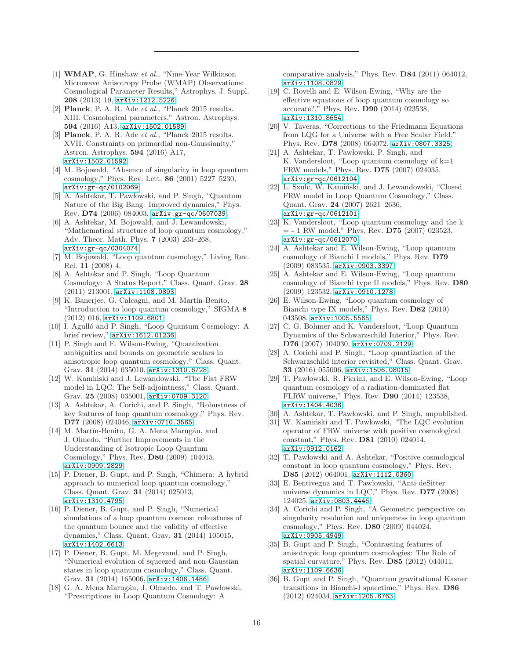- <span id="page-15-0"></span>[1] WMAP, G. Hinshaw et al., "Nine-Year Wilkinson Microwave Anisotropy Probe (WMAP) Observations: Cosmological Parameter Results," Astrophys. J. Suppl. 208 (2013) 19, [arXiv:1212.5226](http://arXiv.org/abs/1212.5226).
- <span id="page-15-1"></span>[2] Planck, P. A. R. Ade et al., "Planck 2015 results. XIII. Cosmological parameters," Astron. Astrophys. 594 (2016) A13, [arXiv:1502.01589](http://arXiv.org/abs/1502.01589).
- <span id="page-15-2"></span>[3] Planck, P. A. R. Ade et al., "Planck 2015 results. XVII. Constraints on primordial non-Gaussianity," Astron. Astrophys. 594 (2016) A17, [arXiv:1502.01592](http://arXiv.org/abs/1502.01592).
- <span id="page-15-3"></span>[4] M. Bojowald, "Absence of singularity in loop quantum cosmology," Phys. Rev. Lett. 86 (2001) 5227–5230, [arXiv:gr-qc/0102069](http://arXiv.org/abs/gr-qc/0102069).
- <span id="page-15-4"></span>[5] A. Ashtekar, T. Pawłowski, and P. Singh, "Quantum" Nature of the Big Bang: Improved dynamics," Phys. Rev. D74 (2006) 084003, [arXiv:gr-qc/0607039](http://arXiv.org/abs/gr-qc/0607039).
- <span id="page-15-5"></span>[6] A. Ashtekar, M. Bojowald, and J. Lewandowski, "Mathematical structure of loop quantum cosmology," Adv. Theor. Math. Phys. 7 (2003) 233–268, [arXiv:gr-qc/0304074](http://arXiv.org/abs/gr-qc/0304074).
- <span id="page-15-6"></span>[7] M. Bojowald, "Loop quantum cosmology," Living Rev. Rel. 11 (2008) 4.
- <span id="page-15-8"></span>[8] A. Ashtekar and P. Singh, "Loop Quantum Cosmology: A Status Report," Class. Quant. Grav. 28 (2011) 213001, [arXiv:1108.0893](http://arXiv.org/abs/1108.0893).
- [9] K. Banerjee, G. Calcagni, and M. Martín-Benito, "Introduction to loop quantum cosmology," SIGMA 8 (2012) 016, [arXiv:1109.6801](http://arXiv.org/abs/1109.6801).
- <span id="page-15-7"></span>[10] I. Agulló and P. Singh, "Loop Quantum Cosmology: A brief review," [arXiv:1612.01236](http://arXiv.org/abs/1612.01236).
- <span id="page-15-9"></span>[11] P. Singh and E. Wilson-Ewing, "Quantization ambiguities and bounds on geometric scalars in anisotropic loop quantum cosmology," Class. Quant. Grav. 31 (2014) 035010, [arXiv:1310.6728](http://arXiv.org/abs/1310.6728).
- <span id="page-15-10"></span>[12] W. Kamiński and J. Lewandowski, "The Flat FRW model in LQC: The Self-adjointness," Class. Quant. Grav. 25 (2008) 035001, [arXiv:0709.3120](http://arXiv.org/abs/0709.3120).
- <span id="page-15-11"></span>[13] A. Ashtekar, A. Corichi, and P. Singh, "Robustness of key features of loop quantum cosmology," Phys. Rev. D77 (2008) 024046, [arXiv:0710.3565](http://arXiv.org/abs/0710.3565).
- <span id="page-15-12"></span>[14] M. Martín-Benito, G. A. Mena Marugán, and J. Olmedo, "Further Improvements in the Understanding of Isotropic Loop Quantum Cosmology," Phys. Rev. D80 (2009) 104015, [arXiv:0909.2829](http://arXiv.org/abs/0909.2829).
- <span id="page-15-13"></span>[15] P. Diener, B. Gupt, and P. Singh, "Chimera: A hybrid approach to numerical loop quantum cosmology," Class. Quant. Grav. 31 (2014) 025013, [arXiv:1310.4795](http://arXiv.org/abs/1310.4795).
- [16] P. Diener, B. Gupt, and P. Singh, "Numerical simulations of a loop quantum cosmos: robustness of the quantum bounce and the validity of effective dynamics," Class. Quant. Grav. 31 (2014) 105015, [arXiv:1402.6613](http://arXiv.org/abs/1402.6613).
- <span id="page-15-14"></span>[17] P. Diener, B. Gupt, M. Megevand, and P. Singh, "Numerical evolution of squeezed and non-Gaussian states in loop quantum cosmology," Class. Quant. Grav. 31 (2014) 165006, [arXiv:1406.1486](http://arXiv.org/abs/1406.1486).
- <span id="page-15-15"></span>[18] G. A. Mena Marugán, J. Olmedo, and T. Pawłowski, "Prescriptions in Loop Quantum Cosmology: A

comparative analysis," Phys. Rev. D84 (2011) 064012, [arXiv:1108.0829](http://arXiv.org/abs/1108.0829).

- <span id="page-15-16"></span>[19] C. Rovelli and E. Wilson-Ewing, "Why are the effective equations of loop quantum cosmology so accurate?," Phys. Rev. D90 (2014) 023538, [arXiv:1310.8654](http://arXiv.org/abs/1310.8654).
- <span id="page-15-17"></span>[20] V. Taveras, "Corrections to the Friedmann Equations from LQG for a Universe with a Free Scalar Field," Phys. Rev. D78 (2008) 064072, [arXiv:0807.3325](http://arXiv.org/abs/0807.3325).
- <span id="page-15-18"></span>[21] A. Ashtekar, T. Pawlowski, P. Singh, and K. Vandersloot, "Loop quantum cosmology of k=1 FRW models," Phys. Rev. D75 (2007) 024035, [arXiv:gr-qc/0612104](http://arXiv.org/abs/gr-qc/0612104).
- [22] L. Szulc, W. Kamiński, and J. Lewandowski, "Closed FRW model in Loop Quantum Cosmology," Class. Quant. Grav. 24 (2007) 2621–2636, [arXiv:gr-qc/0612101](http://arXiv.org/abs/gr-qc/0612101).
- <span id="page-15-19"></span>[23] K. Vandersloot, "Loop quantum cosmology and the k  $=$  - 1 RW model," Phys. Rev. D75 (2007) 023523, [arXiv:gr-qc/0612070](http://arXiv.org/abs/gr-qc/0612070).
- <span id="page-15-20"></span>[24] A. Ashtekar and E. Wilson-Ewing, "Loop quantum cosmology of Bianchi I models," Phys. Rev. D79 (2009) 083535, [arXiv:0903.3397](http://arXiv.org/abs/0903.3397).
- [25] A. Ashtekar and E. Wilson-Ewing, "Loop quantum cosmology of Bianchi type II models," Phys. Rev. D80 (2009) 123532, [arXiv:0910.1278](http://arXiv.org/abs/0910.1278).
- <span id="page-15-21"></span>[26] E. Wilson-Ewing, "Loop quantum cosmology of Bianchi type IX models," Phys. Rev. D82 (2010) 043508, [arXiv:1005.5565](http://arXiv.org/abs/1005.5565).
- <span id="page-15-22"></span>[27] C. G. Böhmer and K. Vandersloot, "Loop Quantum Dynamics of the Schwarzschild Interior," Phys. Rev. D76 (2007) 104030, [arXiv:0709.2129](http://arXiv.org/abs/0709.2129).
- <span id="page-15-23"></span>[28] A. Corichi and P. Singh, "Loop quantization of the Schwarzschild interior revisited," Class. Quant. Grav. 33 (2016) 055006, [arXiv:1506.08015](http://arXiv.org/abs/1506.08015).
- <span id="page-15-24"></span>[29] T. Pawłowski, R. Pierini, and E. Wilson-Ewing, "Loop quantum cosmology of a radiation-dominated flat FLRW universe," Phys. Rev. D90 (2014) 123538, [arXiv:1404.4036](http://arXiv.org/abs/1404.4036).
- <span id="page-15-25"></span>[30] A. Ashtekar, T. Pawłowski, and P. Singh, unpublished.
- <span id="page-15-26"></span>[31] W. Kamiński and T. Pawłowski, "The LQC evolution operator of FRW universe with positive cosmological constant," Phys. Rev. D81 (2010) 024014, [arXiv:0912.0162](http://arXiv.org/abs/0912.0162).
- <span id="page-15-29"></span>[32] T. Pawłowski and A. Ashtekar, "Positive cosmological constant in loop quantum cosmology," Phys. Rev. D85 (2012) 064001, [arXiv:1112.0360](http://arXiv.org/abs/1112.0360).
- <span id="page-15-27"></span>[33] E. Bentivegna and T. Pawlowski, "Anti-deSitter" universe dynamics in LQC," Phys. Rev. D77 (2008) 124025, [arXiv:0803.4446](http://arXiv.org/abs/0803.4446).
- <span id="page-15-28"></span>[34] A. Corichi and P. Singh, "A Geometric perspective on singularity resolution and uniqueness in loop quantum cosmology," Phys. Rev. D80 (2009) 044024, [arXiv:0905.4949](http://arXiv.org/abs/0905.4949).
- [35] B. Gupt and P. Singh, "Contrasting features of anisotropic loop quantum cosmologies: The Role of spatial curvature," Phys. Rev. D85 (2012) 044011, [arXiv:1109.6636](http://arXiv.org/abs/1109.6636).
- [36] B. Gupt and P. Singh, "Quantum gravitational Kasner transitions in Bianchi-I spacetime," Phys. Rev. D86 (2012) 024034, [arXiv:1205.6763](http://arXiv.org/abs/1205.6763).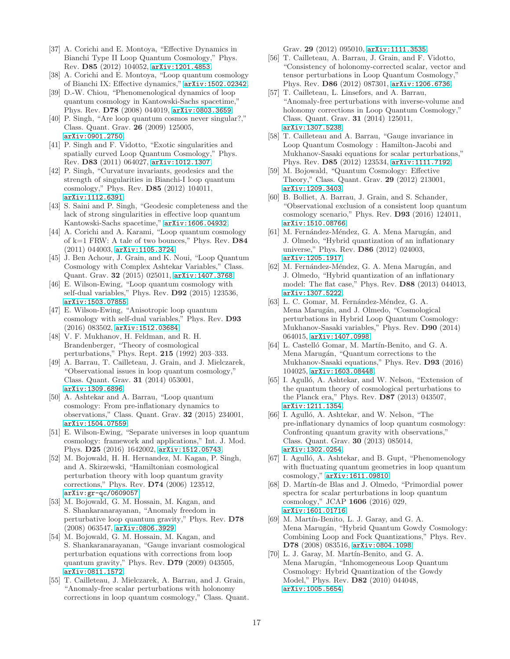- [37] A. Corichi and E. Montoya, "Effective Dynamics in Bianchi Type II Loop Quantum Cosmology," Phys. Rev. D85 (2012) 104052, [arXiv:1201.4853](http://arXiv.org/abs/1201.4853).
- [38] A. Corichi and E. Montoya, "Loop quantum cosmology of Bianchi IX: Effective dynamics," [arXiv:1502.02342](http://arXiv.org/abs/1502.02342).
- <span id="page-16-0"></span>[39] D.-W. Chiou, "Phenomenological dynamics of loop quantum cosmology in Kantowski-Sachs spacetime," Phys. Rev. D78 (2008) 044019, [arXiv:0803.3659](http://arXiv.org/abs/0803.3659).
- <span id="page-16-1"></span>[40] P. Singh, "Are loop quantum cosmos never singular?," Class. Quant. Grav. 26 (2009) 125005, [arXiv:0901.2750](http://arXiv.org/abs/0901.2750).
- [41] P. Singh and F. Vidotto, "Exotic singularities and spatially curved Loop Quantum Cosmology," Phys. Rev. D83 (2011) 064027, [arXiv:1012.1307](http://arXiv.org/abs/1012.1307).
- [42] P. Singh, "Curvature invariants, geodesics and the strength of singularities in Bianchi-I loop quantum cosmology," Phys. Rev. D85 (2012) 104011, [arXiv:1112.6391](http://arXiv.org/abs/1112.6391).
- <span id="page-16-2"></span>[43] S. Saini and P. Singh, "Geodesic completeness and the lack of strong singularities in effective loop quantum Kantowski-Sachs spacetime," [arXiv:1606.04932](http://arXiv.org/abs/1606.04932).
- <span id="page-16-3"></span>[44] A. Corichi and A. Karami, "Loop quantum cosmology of k=1 FRW: A tale of two bounces," Phys. Rev. D84 (2011) 044003, [arXiv:1105.3724](http://arXiv.org/abs/1105.3724).
- <span id="page-16-4"></span>[45] J. Ben Achour, J. Grain, and K. Noui, "Loop Quantum Cosmology with Complex Ashtekar Variables," Class. Quant. Grav. 32 (2015) 025011, [arXiv:1407.3768](http://arXiv.org/abs/1407.3768).
- [46] E. Wilson-Ewing, "Loop quantum cosmology with self-dual variables," Phys. Rev. D92 (2015) 123536, [arXiv:1503.07855](http://arXiv.org/abs/1503.07855).
- <span id="page-16-5"></span>[47] E. Wilson-Ewing, "Anisotropic loop quantum cosmology with self-dual variables," Phys. Rev. D93 (2016) 083502, [arXiv:1512.03684](http://arXiv.org/abs/1512.03684).
- <span id="page-16-6"></span>[48] V. F. Mukhanov, H. Feldman, and R. H. Brandenberger, "Theory of cosmological perturbations," Phys. Rept. 215 (1992) 203–333.
- <span id="page-16-7"></span>[49] A. Barrau, T. Cailleteau, J. Grain, and J. Mielczarek, "Observational issues in loop quantum cosmology," Class. Quant. Grav. 31 (2014) 053001, [arXiv:1309.6896](http://arXiv.org/abs/1309.6896).
- [50] A. Ashtekar and A. Barrau, "Loop quantum cosmology: From pre-inflationary dynamics to observations," Class. Quant. Grav. 32 (2015) 234001, [arXiv:1504.07559](http://arXiv.org/abs/1504.07559).
- <span id="page-16-8"></span>[51] E. Wilson-Ewing, "Separate universes in loop quantum cosmology: framework and applications," Int. J. Mod. Phys. D25 (2016) 1642002, [arXiv:1512.05743](http://arXiv.org/abs/1512.05743).
- <span id="page-16-9"></span>[52] M. Bojowald, H. H. Hernandez, M. Kagan, P. Singh, and A. Skirzewski, "Hamiltonian cosmological perturbation theory with loop quantum gravity corrections," Phys. Rev. D74 (2006) 123512, [arXiv:gr-qc/0609057](http://arXiv.org/abs/gr-qc/0609057).
- [53] M. Bojowald, G. M. Hossain, M. Kagan, and S. Shankaranarayanan, "Anomaly freedom in perturbative loop quantum gravity," Phys. Rev. D78 (2008) 063547, [arXiv:0806.3929](http://arXiv.org/abs/0806.3929).
- <span id="page-16-10"></span>[54] M. Bojowald, G. M. Hossain, M. Kagan, and S. Shankaranarayanan, "Gauge invariant cosmological perturbation equations with corrections from loop quantum gravity," Phys. Rev. D79 (2009) 043505, [arXiv:0811.1572](http://arXiv.org/abs/0811.1572).
- <span id="page-16-11"></span>[55] T. Cailleteau, J. Mielczarek, A. Barrau, and J. Grain, "Anomaly-free scalar perturbations with holonomy corrections in loop quantum cosmology," Class. Quant.

Grav. 29 (2012) 095010, [arXiv:1111.3535](http://arXiv.org/abs/1111.3535).

- <span id="page-16-12"></span>[56] T. Cailleteau, A. Barrau, J. Grain, and F. Vidotto, "Consistency of holonomy-corrected scalar, vector and tensor perturbations in Loop Quantum Cosmology," Phys. Rev. D86 (2012) 087301, [arXiv:1206.6736](http://arXiv.org/abs/1206.6736).
- <span id="page-16-13"></span>[57] T. Cailleteau, L. Linsefors, and A. Barrau, "Anomaly-free perturbations with inverse-volume and holonomy corrections in Loop Quantum Cosmology, Class. Quant. Grav. 31 (2014) 125011, [arXiv:1307.5238](http://arXiv.org/abs/1307.5238).
- <span id="page-16-14"></span>[58] T. Cailleteau and A. Barrau, "Gauge invariance in Loop Quantum Cosmology : Hamilton-Jacobi and Mukhanov-Sasaki equations for scalar perturbations," Phys. Rev. D85 (2012) 123534, [arXiv:1111.7192](http://arXiv.org/abs/1111.7192).
- <span id="page-16-15"></span>[59] M. Bojowald, "Quantum Cosmology: Effective Theory," Class. Quant. Grav. 29 (2012) 213001, [arXiv:1209.3403](http://arXiv.org/abs/1209.3403).
- <span id="page-16-16"></span>[60] B. Bolliet, A. Barrau, J. Grain, and S. Schander, "Observational exclusion of a consistent loop quantum cosmology scenario," Phys. Rev. D93 (2016) 124011, [arXiv:1510.08766](http://arXiv.org/abs/1510.08766).
- <span id="page-16-17"></span>[61] M. Fernández-Méndez, G. A. Mena Marugán, and J. Olmedo, "Hybrid quantization of an inflationary universe," Phys. Rev. D86 (2012) 024003, [arXiv:1205.1917](http://arXiv.org/abs/1205.1917).
- [62] M. Fernández-Méndez, G. A. Mena Marugán, and J. Olmedo, "Hybrid quantization of an inflationary model: The flat case," Phys. Rev. D88 (2013) 044013, [arXiv:1307.5222](http://arXiv.org/abs/1307.5222).
- [63] L. C. Gomar, M. Fernández-Méndez, G. A. Mena Marugán, and J. Olmedo, "Cosmological perturbations in Hybrid Loop Quantum Cosmology: Mukhanov-Sasaki variables," Phys. Rev. D90 (2014) 064015, [arXiv:1407.0998](http://arXiv.org/abs/1407.0998).
- <span id="page-16-18"></span>[64] L. Castelló Gomar, M. Martín-Benito, and G. A. Mena Marugán, "Quantum corrections to the Mukhanov-Sasaki equations," Phys. Rev. D93 (2016) 104025, [arXiv:1603.08448](http://arXiv.org/abs/1603.08448).
- <span id="page-16-19"></span>[65] I. Agulló, A. Ashtekar, and W. Nelson, "Extension of the quantum theory of cosmological perturbations to the Planck era," Phys. Rev. D87 (2013) 043507, [arXiv:1211.1354](http://arXiv.org/abs/1211.1354).
- <span id="page-16-23"></span>[66] I. Agulló, A. Ashtekar, and W. Nelson, "The pre-inflationary dynamics of loop quantum cosmology: Confronting quantum gravity with observations," Class. Quant. Grav. 30 (2013) 085014, [arXiv:1302.0254](http://arXiv.org/abs/1302.0254).
- <span id="page-16-20"></span>[67] I. Agulló, A. Ashtekar, and B. Gupt, "Phenomenology with fluctuating quantum geometries in loop quantum cosmology," [arXiv:1611.09810](http://arXiv.org/abs/1611.09810).
- <span id="page-16-21"></span>[68] D. Martín-de Blas and J. Olmedo, "Primordial power spectra for scalar perturbations in loop quantum cosmology," JCAP 1606 (2016) 029, [arXiv:1601.01716](http://arXiv.org/abs/1601.01716).
- <span id="page-16-22"></span>[69] M. Martín-Benito, L. J. Garay, and G. A. Mena Marugán, "Hybrid Quantum Gowdy Cosmology: Combining Loop and Fock Quantizations," Phys. Rev. D78 (2008) 083516, [arXiv:0804.1098](http://arXiv.org/abs/0804.1098).
- [70] L. J. Garay, M. Martín-Benito, and G. A. Mena Marugán, "Inhomogeneous Loop Quantum Cosmology: Hybrid Quantization of the Gowdy Model," Phys. Rev. D82 (2010) 044048, [arXiv:1005.5654](http://arXiv.org/abs/1005.5654).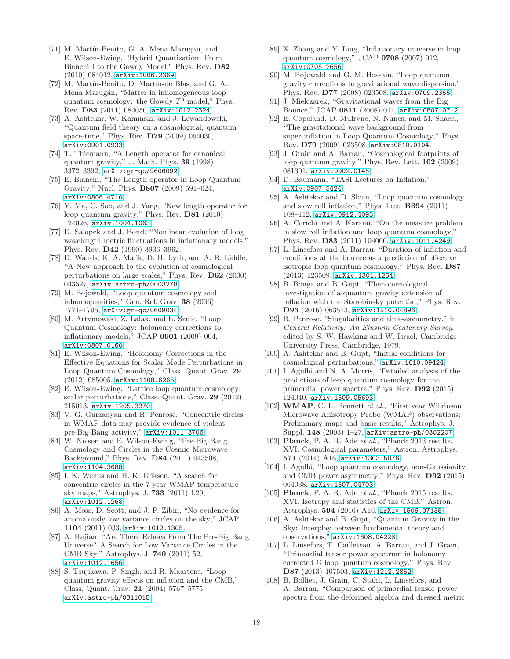- [71] M. Martín-Benito, G. A. Mena Marugán, and E. Wilson-Ewing, "Hybrid Quantization: From Bianchi I to the Gowdy Model," Phys. Rev. D82 (2010) 084012, [arXiv:1006.2369](http://arXiv.org/abs/1006.2369).
- <span id="page-17-0"></span>[72] M. Martín-Benito, D. Martín-de Blas, and G. A. Mena Marugán, "Matter in inhomogeneous loop quantum cosmology: the Gowdy  $T^3$  model," Phys. Rev. D83 (2011) 084050, [arXiv:1012.2324](http://arXiv.org/abs/1012.2324).
- <span id="page-17-1"></span>[73] A. Ashtekar, W. Kamiński, and J. Lewandowski, "Quantum field theory on a cosmological, quantum space-time," Phys. Rev. D79 (2009) 064030, [arXiv:0901.0933](http://arXiv.org/abs/0901.0933).
- <span id="page-17-2"></span>[74] T. Thiemann, "A Length operator for canonical quantum gravity," J. Math. Phys. 39 (1998) 3372–3392, [arXiv:gr-qc/9606092](http://arXiv.org/abs/gr-qc/9606092).
- [75] E. Bianchi, "The Length operator in Loop Quantum Gravity," Nucl. Phys. B807 (2009) 591–624, [arXiv:0806.4710](http://arXiv.org/abs/0806.4710).
- <span id="page-17-3"></span>[76] Y. Ma, C. Soo, and J. Yang, "New length operator for loop quantum gravity," Phys. Rev. D81 (2010) 124026, [arXiv:1004.1063](http://arXiv.org/abs/1004.1063).
- <span id="page-17-4"></span>[77] D. Salopek and J. Bond, "Nonlinear evolution of long wavelength metric fluctuations in inflationary models," Phys. Rev. D42 (1990) 3936–3962.
- <span id="page-17-5"></span>[78] D. Wands, K. A. Malik, D. H. Lyth, and A. R. Liddle, "A New approach to the evolution of cosmological perturbations on large scales," Phys. Rev. D62 (2000) 043527, [arXiv:astro-ph/0003278](http://arXiv.org/abs/astro-ph/0003278).
- <span id="page-17-6"></span>[79] M. Bojowald, "Loop quantum cosmology and inhomogeneities," Gen. Rel. Grav. 38 (2006) 1771–1795, [arXiv:gr-qc/0609034](http://arXiv.org/abs/gr-qc/0609034).
- [80] M. Artymowski, Z. Lalak, and L. Szulc, "Loop Quantum Cosmology: holonomy corrections to inflationary models," JCAP 0901 (2009) 004, [arXiv:0807.0160](http://arXiv.org/abs/0807.0160).
- <span id="page-17-12"></span>[81] E. Wilson-Ewing, "Holonomy Corrections in the Effective Equations for Scalar Mode Perturbations in Loop Quantum Cosmology," Class. Quant. Grav. 29 (2012) 085005, [arXiv:1108.6265](http://arXiv.org/abs/1108.6265).
- <span id="page-17-7"></span>[82] E. Wilson-Ewing, "Lattice loop quantum cosmology: scalar perturbations," Class. Quant. Grav. 29 (2012) 215013, [arXiv:1205.3370](http://arXiv.org/abs/1205.3370).
- <span id="page-17-8"></span>[83] V. G. Gurzadyan and R. Penrose, "Concentric circles in WMAP data may provide evidence of violent pre-Big-Bang activity," [arXiv:1011.3706](http://arXiv.org/abs/1011.3706).
- <span id="page-17-9"></span>[84] W. Nelson and E. Wilson-Ewing, "Pre-Big-Bang Cosmology and Circles in the Cosmic Microwave Background," Phys. Rev. D84 (2011) 043508, [arXiv:1104.3688](http://arXiv.org/abs/1104.3688).
- <span id="page-17-10"></span>[85] I. K. Wehus and H. K. Eriksen, "A search for concentric circles in the 7-year WMAP temperature sky maps," Astrophys. J. 733 (2011) L29, [arXiv:1012.1268](http://arXiv.org/abs/1012.1268).
- [86] A. Moss, D. Scott, and J. P. Zibin, "No evidence for anomalously low variance circles on the sky," JCAP 1104 (2011) 033, [arXiv:1012.1305](http://arXiv.org/abs/1012.1305).
- <span id="page-17-11"></span>[87] A. Hajian, "Are There Echoes From The Pre-Big Bang Universe? A Search for Low Variance Circles in the CMB Sky," Astrophys. J. 740 (2011) 52, [arXiv:1012.1656](http://arXiv.org/abs/1012.1656).
- <span id="page-17-13"></span>[88] S. Tsujikawa, P. Singh, and R. Maartens, "Loop quantum gravity effects on inflation and the CMB," Class. Quant. Grav. 21 (2004) 5767–5775, [arXiv:astro-ph/0311015](http://arXiv.org/abs/astro-ph/0311015).
- [89] X. Zhang and Y. Ling, "Inflationary universe in loop quantum cosmology," JCAP 0708 (2007) 012, [arXiv:0705.2656](http://arXiv.org/abs/0705.2656).
- [90] M. Bojowald and G. M. Hossain, "Loop quantum gravity corrections to gravitational wave dispersion," Phys. Rev. D77 (2008) 023508, [arXiv:0709.2365](http://arXiv.org/abs/0709.2365).
- [91] J. Mielczarek, "Gravitational waves from the Big Bounce," JCAP 0811 (2008) 011, [arXiv:0807.0712](http://arXiv.org/abs/0807.0712).
- [92] E. Copeland, D. Mulryne, N. Nunes, and M. Shaeri, "The gravitational wave background from super-inflation in Loop Quantum Cosmology," Phys. Rev. D79 (2009) 023508, [arXiv:0810.0104](http://arXiv.org/abs/0810.0104).
- <span id="page-17-14"></span>[93] J. Grain and A. Barrau, "Cosmological footprints of loop quantum gravity," Phys. Rev. Lett. 102 (2009) 081301, [arXiv:0902.0145](http://arXiv.org/abs/0902.0145).
- <span id="page-17-15"></span>[94] D. Baumann, "TASI Lectures on Inflation," [arXiv:0907.5424](http://arXiv.org/abs/0907.5424).
- <span id="page-17-16"></span>[95] A. Ashtekar and D. Sloan, "Loop quantum cosmology and slow roll inflation," Phys. Lett. B694 (2011) 108–112, [arXiv:0912.4093](http://arXiv.org/abs/0912.4093).
- [96] A. Corichi and A. Karami, "On the measure problem in slow roll inflation and loop quantum cosmology," Phys. Rev. D83 (2011) 104006, [arXiv:1011.4249](http://arXiv.org/abs/1011.4249).
- <span id="page-17-17"></span>[97] L. Linsefors and A. Barrau, "Duration of inflation and conditions at the bounce as a prediction of effective isotropic loop quantum cosmology," Phys. Rev. D87 (2013) 123509, [arXiv:1301.1264](http://arXiv.org/abs/1301.1264).
- <span id="page-17-18"></span>[98] B. Bonga and B. Gupt, "Phenomenological investigation of a quantum gravity extension of inflation with the Starobinsky potential," Phys. Rev. D93 (2016) 063513, [arXiv:1510.04896](http://arXiv.org/abs/1510.04896).
- <span id="page-17-19"></span>[99] R. Penrose, "Singularities and time-asymmetry," in General Relativity: An Einstein Centenary Survey, edited by S. W. Hawking and W. Israel, Cambridge University Press, Cambridge, 1979.
- <span id="page-17-20"></span>[100] A. Ashtekar and B. Gupt, "Initial conditions for cosmological perturbations," [arXiv:1610.09424](http://arXiv.org/abs/1610.09424).
- <span id="page-17-21"></span>[101] I. Agulló and N. A. Morris, "Detailed analysis of the predictions of loop quantum cosmology for the primordial power spectra," Phys. Rev. D92 (2015) 124040, [arXiv:1509.05693](http://arXiv.org/abs/1509.05693).
- <span id="page-17-22"></span>[102] WMAP, C. L. Bennett et al., "First year Wilkinson Microwave Anisotropy Probe (WMAP) observations: Preliminary maps and basic results," Astrophys. J. Suppl. 148 (2003) 1–27, [arXiv:astro-ph/0302207](http://arXiv.org/abs/astro-ph/0302207).
- <span id="page-17-23"></span>[103] **Planck**, P. A. R. Ade et al., "Planck 2013 results. XVI. Cosmological parameters," Astron. Astrophys. 571 (2014) A16, [arXiv:1303.5076](http://arXiv.org/abs/1303.5076).
- <span id="page-17-24"></span>[104] I. Agulló, "Loop quantum cosmology, non-Gaussianity, and CMB power asymmetry," Phys. Rev. D92 (2015) 064038, [arXiv:1507.04703](http://arXiv.org/abs/1507.04703).
- <span id="page-17-25"></span>[105] Planck, P. A. R. Ade et al., "Planck 2015 results. XVI. Isotropy and statistics of the CMB," Astron. Astrophys. 594 (2016) A16, [arXiv:1506.07135](http://arXiv.org/abs/1506.07135).
- <span id="page-17-26"></span>[106] A. Ashtekar and B. Gupt, "Quantum Gravity in the Sky: Interplay between fundamental theory and observations," [arXiv:1608.04228](http://arXiv.org/abs/1608.04228).
- <span id="page-17-27"></span>[107] L. Linsefors, T. Cailleteau, A. Barrau, and J. Grain, "Primordial tensor power spectrum in holonomy corrected  $\Omega$  loop quantum cosmology," Phys. Rev. D87 (2013) 107503, [arXiv:1212.2852](http://arXiv.org/abs/1212.2852).
- <span id="page-17-28"></span>[108] B. Bolliet, J. Grain, C. Stahl, L. Linsefors, and A. Barrau, "Comparison of primordial tensor power spectra from the deformed algebra and dressed metric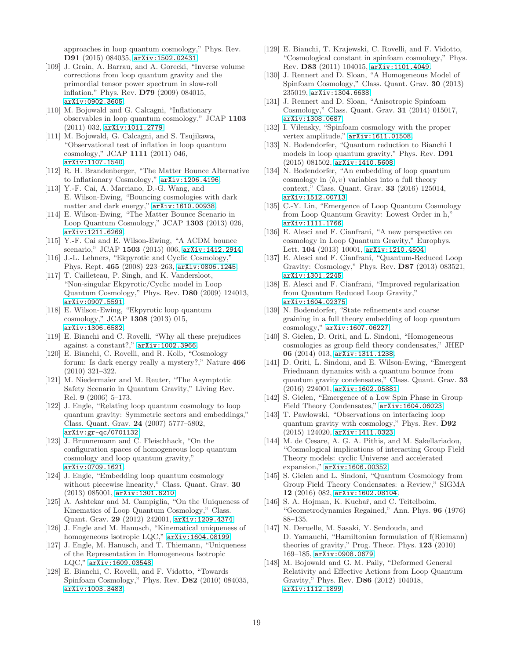approaches in loop quantum cosmology," Phys. Rev. D91 (2015) 084035, [arXiv:1502.02431](http://arXiv.org/abs/1502.02431).

- <span id="page-18-0"></span>[109] J. Grain, A. Barrau, and A. Gorecki, "Inverse volume corrections from loop quantum gravity and the primordial tensor power spectrum in slow-roll inflation," Phys. Rev. D79 (2009) 084015, [arXiv:0902.3605](http://arXiv.org/abs/0902.3605).
- <span id="page-18-1"></span>[110] M. Bojowald and G. Calcagni, "Inflationary observables in loop quantum cosmology," JCAP 1103 (2011) 032, [arXiv:1011.2779](http://arXiv.org/abs/1011.2779).
- <span id="page-18-2"></span>[111] M. Bojowald, G. Calcagni, and S. Tsujikawa, "Observational test of inflation in loop quantum cosmology," JCAP 1111 (2011) 046, [arXiv:1107.1540](http://arXiv.org/abs/1107.1540).
- <span id="page-18-3"></span>[112] R. H. Brandenberger, "The Matter Bounce Alternative to Inflationary Cosmology," [arXiv:1206.4196](http://arXiv.org/abs/1206.4196).
- <span id="page-18-4"></span>[113] Y.-F. Cai, A. Marciano, D.-G. Wang, and E. Wilson-Ewing, "Bouncing cosmologies with dark matter and dark energy," [arXiv:1610.00938](http://arXiv.org/abs/1610.00938).
- <span id="page-18-5"></span>[114] E. Wilson-Ewing, "The Matter Bounce Scenario in Loop Quantum Cosmology," JCAP 1303 (2013) 026, [arXiv:1211.6269](http://arXiv.org/abs/1211.6269).
- <span id="page-18-6"></span>[115] Y.-F. Cai and E. Wilson-Ewing, "A ΛCDM bounce scenario," JCAP 1503 (2015) 006, arXiv: 1412.2914.
- <span id="page-18-7"></span>[116] J.-L. Lehners, "Ekpyrotic and Cyclic Cosmology," Phys. Rept. 465 (2008) 223-263, [arXiv:0806.1245](http://arXiv.org/abs/0806.1245).
- <span id="page-18-8"></span>[117] T. Cailleteau, P. Singh, and K. Vandersloot, "Non-singular Ekpyrotic/Cyclic model in Loop Quantum Cosmology," Phys. Rev. D80 (2009) 124013, [arXiv:0907.5591](http://arXiv.org/abs/0907.5591).
- <span id="page-18-9"></span>[118] E. Wilson-Ewing, "Ekpyrotic loop quantum cosmology," JCAP 1308 (2013) 015, [arXiv:1306.6582](http://arXiv.org/abs/1306.6582).
- <span id="page-18-10"></span>[119] E. Bianchi and C. Rovelli, "Why all these prejudices against a constant?," [arXiv:1002.3966](http://arXiv.org/abs/1002.3966).
- <span id="page-18-11"></span>[120] E. Bianchi, C. Rovelli, and R. Kolb, "Cosmology forum: Is dark energy really a mystery?," Nature 466 (2010) 321–322.
- <span id="page-18-12"></span>[121] M. Niedermaier and M. Reuter, "The Asymptotic Safety Scenario in Quantum Gravity," Living Rev. Rel. 9 (2006) 5–173.
- <span id="page-18-13"></span>[122] J. Engle, "Relating loop quantum cosmology to loop quantum gravity: Symmetric sectors and embeddings," Class. Quant. Grav. 24 (2007) 5777–5802, [arXiv:gr-qc/0701132](http://arXiv.org/abs/gr-qc/0701132).
- [123] J. Brunnemann and C. Fleischhack, "On the configuration spaces of homogeneous loop quantum cosmology and loop quantum gravity," [arXiv:0709.1621](http://arXiv.org/abs/0709.1621).
- <span id="page-18-14"></span>[124] J. Engle, "Embedding loop quantum cosmology without piecewise linearity," Class. Quant. Grav. 30 (2013) 085001, [arXiv:1301.6210](http://arXiv.org/abs/1301.6210).
- <span id="page-18-15"></span>[125] A. Ashtekar and M. Campiglia, "On the Uniqueness of Kinematics of Loop Quantum Cosmology," Class. Quant. Grav. 29 (2012) 242001, [arXiv:1209.4374](http://arXiv.org/abs/1209.4374).
- [126] J. Engle and M. Hanusch, "Kinematical uniqueness of homogeneous isotropic LQC," [arXiv:1604.08199](http://arXiv.org/abs/1604.08199).
- <span id="page-18-16"></span>[127] J. Engle, M. Hanusch, and T. Thiemann, "Uniqueness of the Representation in Homogeneous Isotropic LQC," [arXiv:1609.03548](http://arXiv.org/abs/1609.03548).
- <span id="page-18-17"></span>[128] E. Bianchi, C. Rovelli, and F. Vidotto, "Towards Spinfoam Cosmology," Phys. Rev. D82 (2010) 084035, [arXiv:1003.3483](http://arXiv.org/abs/1003.3483).
- [129] E. Bianchi, T. Krajewski, C. Rovelli, and F. Vidotto, "Cosmological constant in spinfoam cosmology," Phys. Rev. D83 (2011) 104015, [arXiv:1101.4049](http://arXiv.org/abs/1101.4049).
- [130] J. Rennert and D. Sloan, "A Homogeneous Model of Spinfoam Cosmology," Class. Quant. Grav. 30 (2013) 235019, [arXiv:1304.6688](http://arXiv.org/abs/1304.6688).
- [131] J. Rennert and D. Sloan, "Anisotropic Spinfoam Cosmology," Class. Quant. Grav. 31 (2014) 015017, [arXiv:1308.0687](http://arXiv.org/abs/1308.0687).
- <span id="page-18-18"></span>[132] I. Vilensky, "Spinfoam cosmology with the proper vertex amplitude," [arXiv:1611.01508](http://arXiv.org/abs/1611.01508).
- <span id="page-18-19"></span>[133] N. Bodendorfer, "Quantum reduction to Bianchi I models in loop quantum gravity," Phys. Rev. D91 (2015) 081502, [arXiv:1410.5608](http://arXiv.org/abs/1410.5608).
- <span id="page-18-20"></span>[134] N. Bodendorfer, "An embedding of loop quantum cosmology in  $(b, v)$  variables into a full theory context," Class. Quant. Grav. 33 (2016) 125014, [arXiv:1512.00713](http://arXiv.org/abs/1512.00713).
- <span id="page-18-21"></span>[135] C.-Y. Lin, "Emergence of Loop Quantum Cosmology from Loop Quantum Gravity: Lowest Order in h," [arXiv:1111.1766](http://arXiv.org/abs/1111.1766).
- [136] E. Alesci and F. Cianfrani, "A new perspective on cosmology in Loop Quantum Gravity," Europhys. Lett. 104 (2013) 10001, [arXiv:1210.4504](http://arXiv.org/abs/1210.4504).
- [137] E. Alesci and F. Cianfrani, "Quantum-Reduced Loop Gravity: Cosmology," Phys. Rev. D87 (2013) 083521, [arXiv:1301.2245](http://arXiv.org/abs/1301.2245).
- [138] E. Alesci and F. Cianfrani, "Improved regularization from Quantum Reduced Loop Gravity," [arXiv:1604.02375](http://arXiv.org/abs/1604.02375).
- <span id="page-18-22"></span>[139] N. Bodendorfer, "State refinements and coarse graining in a full theory embedding of loop quantum cosmology," [arXiv:1607.06227](http://arXiv.org/abs/1607.06227).
- <span id="page-18-23"></span>[140] S. Gielen, D. Oriti, and L. Sindoni, "Homogeneous cosmologies as group field theory condensates," JHEP 06 (2014) 013, [arXiv:1311.1238](http://arXiv.org/abs/1311.1238).
- <span id="page-18-24"></span>[141] D. Oriti, L. Sindoni, and E. Wilson-Ewing, "Emergent Friedmann dynamics with a quantum bounce from quantum gravity condensates," Class. Quant. Grav. 33 (2016) 224001, [arXiv:1602.05881](http://arXiv.org/abs/1602.05881).
- <span id="page-18-25"></span>[142] S. Gielen, "Emergence of a Low Spin Phase in Group Field Theory Condensates," [arXiv:1604.06023](http://arXiv.org/abs/1604.06023).
- <span id="page-18-26"></span>[143] T. Pawłowski, "Observations on interfacing loop quantum gravity with cosmology," Phys. Rev. D92 (2015) 124020, [arXiv:1411.0323](http://arXiv.org/abs/1411.0323).
- <span id="page-18-27"></span>[144] M. de Cesare, A. G. A. Pithis, and M. Sakellariadou, "Cosmological implications of interacting Group Field Theory models: cyclic Universe and accelerated expansion," [arXiv:1606.00352](http://arXiv.org/abs/1606.00352).
- <span id="page-18-28"></span>[145] S. Gielen and L. Sindoni, "Quantum Cosmology from Group Field Theory Condensates: a Review," SIGMA 12 (2016) 082, [arXiv:1602.08104](http://arXiv.org/abs/1602.08104).
- <span id="page-18-29"></span>[146] S. A. Hojman, K. Kuchař, and C. Teitelboim, "Geometrodynamics Regained," Ann. Phys. 96 (1976) 88–135.
- <span id="page-18-30"></span>[147] N. Deruelle, M. Sasaki, Y. Sendouda, and D. Yamauchi, "Hamiltonian formulation of f(Riemann) theories of gravity," Prog. Theor. Phys. 123 (2010) 169–185, [arXiv:0908.0679](http://arXiv.org/abs/0908.0679).
- <span id="page-18-31"></span>[148] M. Bojowald and G. M. Paily, "Deformed General Relativity and Effective Actions from Loop Quantum Gravity," Phys. Rev. D86 (2012) 104018, [arXiv:1112.1899](http://arXiv.org/abs/1112.1899).